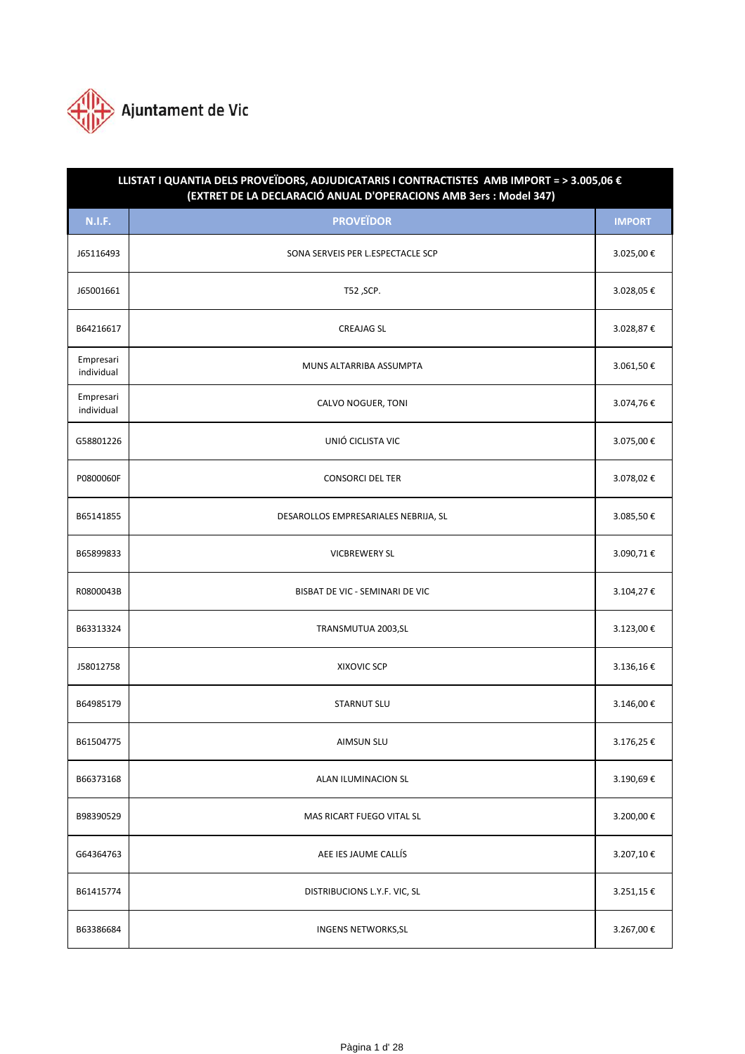

| LLISTAT I QUANTIA DELS PROVEÏDORS, ADJUDICATARIS I CONTRACTISTES AMB IMPORT = > 3.005,06 €<br>(EXTRET DE LA DECLARACIÓ ANUAL D'OPERACIONS AMB 3ers : Model 347) |                                      |               |  |
|-----------------------------------------------------------------------------------------------------------------------------------------------------------------|--------------------------------------|---------------|--|
| <b>N.I.F.</b>                                                                                                                                                   | <b>PROVEÏDOR</b>                     | <b>IMPORT</b> |  |
| J65116493                                                                                                                                                       | SONA SERVEIS PER L.ESPECTACLE SCP    | 3.025,00€     |  |
| J65001661                                                                                                                                                       | T52, SCP.                            | 3.028,05€     |  |
| B64216617                                                                                                                                                       | <b>CREAJAG SL</b>                    | 3.028,87€     |  |
| Empresari<br>individual                                                                                                                                         | MUNS ALTARRIBA ASSUMPTA              | 3.061,50€     |  |
| Empresari<br>individual                                                                                                                                         | CALVO NOGUER, TONI                   | 3.074,76€     |  |
| G58801226                                                                                                                                                       | UNIÓ CICLISTA VIC                    | 3.075,00€     |  |
| P0800060F                                                                                                                                                       | <b>CONSORCI DEL TER</b>              | 3.078,02€     |  |
| B65141855                                                                                                                                                       | DESAROLLOS EMPRESARIALES NEBRIJA, SL | 3.085,50€     |  |
| B65899833                                                                                                                                                       | <b>VICBREWERY SL</b>                 | 3.090,71€     |  |
| R0800043B                                                                                                                                                       | BISBAT DE VIC - SEMINARI DE VIC      | 3.104,27€     |  |
| B63313324                                                                                                                                                       | TRANSMUTUA 2003, SL                  | 3.123,00€     |  |
| J58012758                                                                                                                                                       | XIXOVIC SCP                          | 3.136,16€     |  |
| B64985179                                                                                                                                                       | <b>STARNUT SLU</b>                   | 3.146,00€     |  |
| B61504775                                                                                                                                                       | <b>AIMSUN SLU</b>                    | 3.176,25€     |  |
| B66373168                                                                                                                                                       | ALAN ILUMINACION SL                  | 3.190,69€     |  |
| B98390529                                                                                                                                                       | MAS RICART FUEGO VITAL SL            | 3.200,00€     |  |
| G64364763                                                                                                                                                       | AEE IES JAUME CALLÍS                 | 3.207,10€     |  |
| B61415774                                                                                                                                                       | DISTRIBUCIONS L.Y.F. VIC, SL         | 3.251,15€     |  |
| B63386684                                                                                                                                                       | <b>INGENS NETWORKS, SL</b>           | 3.267,00€     |  |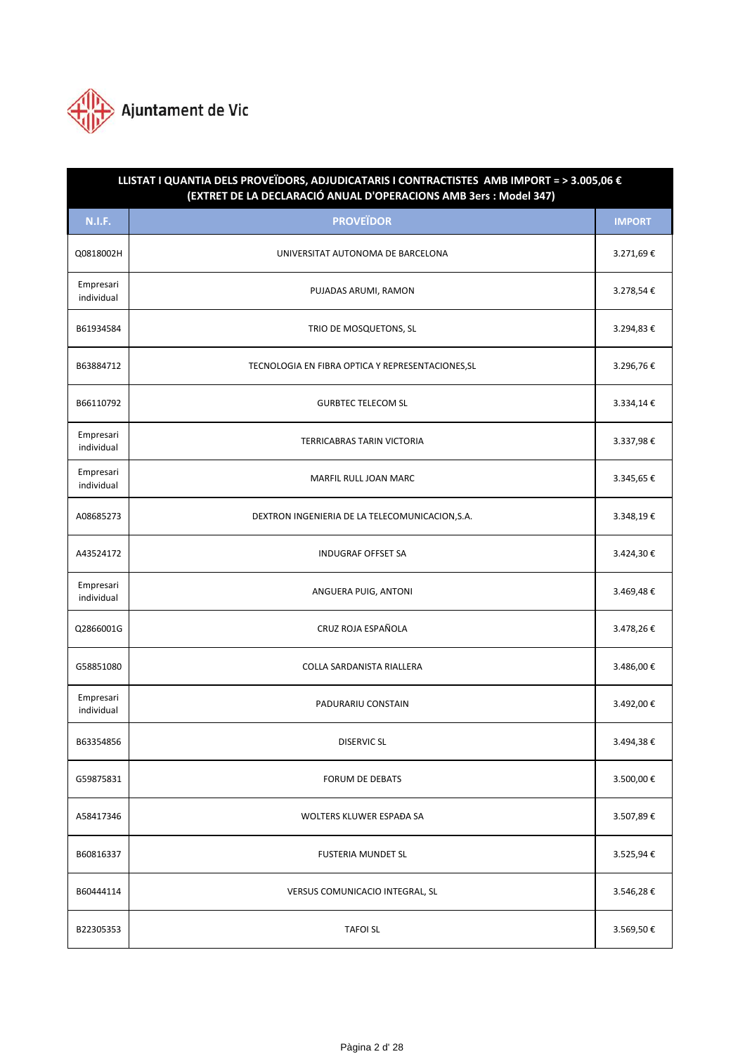

| LLISTAT I QUANTIA DELS PROVEÏDORS, ADJUDICATARIS I CONTRACTISTES AMB IMPORT = > 3.005,06 €<br>(EXTRET DE LA DECLARACIÓ ANUAL D'OPERACIONS AMB 3ers : Model 347) |                                                   |               |  |
|-----------------------------------------------------------------------------------------------------------------------------------------------------------------|---------------------------------------------------|---------------|--|
| <b>N.I.F.</b>                                                                                                                                                   | <b>PROVEÏDOR</b>                                  | <b>IMPORT</b> |  |
| Q0818002H                                                                                                                                                       | UNIVERSITAT AUTONOMA DE BARCELONA                 | 3.271,69€     |  |
| Empresari<br>individual                                                                                                                                         | PUJADAS ARUMI, RAMON                              | 3.278,54€     |  |
| B61934584                                                                                                                                                       | TRIO DE MOSQUETONS, SL                            | 3.294,83€     |  |
| B63884712                                                                                                                                                       | TECNOLOGIA EN FIBRA OPTICA Y REPRESENTACIONES, SL | 3.296,76€     |  |
| B66110792                                                                                                                                                       | <b>GURBTEC TELECOM SL</b>                         | 3.334,14€     |  |
| Empresari<br>individual                                                                                                                                         | <b>TERRICABRAS TARIN VICTORIA</b>                 | 3.337,98€     |  |
| Empresari<br>individual                                                                                                                                         | MARFIL RULL JOAN MARC                             | 3.345,65€     |  |
| A08685273                                                                                                                                                       | DEXTRON INGENIERIA DE LA TELECOMUNICACION, S.A.   | 3.348,19€     |  |
| A43524172                                                                                                                                                       | <b>INDUGRAF OFFSET SA</b>                         | 3.424,30€     |  |
| Empresari<br>individual                                                                                                                                         | ANGUERA PUIG, ANTONI                              | 3.469,48€     |  |
| Q2866001G                                                                                                                                                       | CRUZ ROJA ESPAÑOLA                                | 3.478,26€     |  |
| G58851080                                                                                                                                                       | COLLA SARDANISTA RIALLERA                         | 3.486,00€     |  |
| Empresari<br>individual                                                                                                                                         | PADURARIU CONSTAIN                                | 3.492,00€     |  |
| B63354856                                                                                                                                                       | <b>DISERVIC SL</b>                                | 3.494,38€     |  |
| G59875831                                                                                                                                                       | FORUM DE DEBATS                                   | 3.500,00€     |  |
| A58417346                                                                                                                                                       | WOLTERS KLUWER ESPAĐA SA                          | 3.507,89€     |  |
| B60816337                                                                                                                                                       | <b>FUSTERIA MUNDET SL</b>                         | 3.525,94€     |  |
| B60444114                                                                                                                                                       | VERSUS COMUNICACIO INTEGRAL, SL                   | 3.546,28€     |  |
| B22305353                                                                                                                                                       | <b>TAFOI SL</b>                                   | 3.569,50€     |  |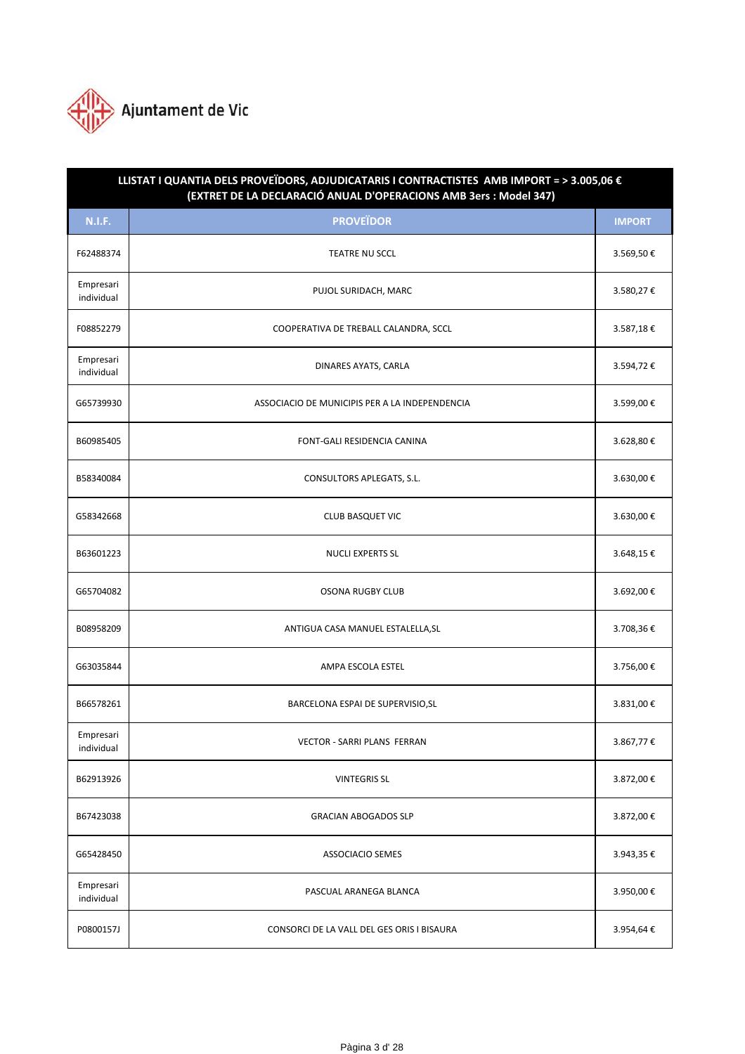

| LLISTAT I QUANTIA DELS PROVEÏDORS, ADJUDICATARIS I CONTRACTISTES AMB IMPORT = > 3.005,06 €<br>(EXTRET DE LA DECLARACIÓ ANUAL D'OPERACIONS AMB 3ers : Model 347) |                                                |               |  |
|-----------------------------------------------------------------------------------------------------------------------------------------------------------------|------------------------------------------------|---------------|--|
| <b>N.I.F.</b>                                                                                                                                                   | <b>PROVEÏDOR</b>                               | <b>IMPORT</b> |  |
| F62488374                                                                                                                                                       | <b>TEATRE NU SCCL</b>                          | 3.569,50€     |  |
| Empresari<br>individual                                                                                                                                         | PUJOL SURIDACH, MARC                           | 3.580,27€     |  |
| F08852279                                                                                                                                                       | COOPERATIVA DE TREBALL CALANDRA, SCCL          | 3.587,18€     |  |
| Empresari<br>individual                                                                                                                                         | DINARES AYATS, CARLA                           | 3.594,72€     |  |
| G65739930                                                                                                                                                       | ASSOCIACIO DE MUNICIPIS PER A LA INDEPENDENCIA | 3.599,00€     |  |
| B60985405                                                                                                                                                       | FONT-GALI RESIDENCIA CANINA                    | 3.628,80€     |  |
| B58340084                                                                                                                                                       | CONSULTORS APLEGATS, S.L.                      | 3.630,00€     |  |
| G58342668                                                                                                                                                       | <b>CLUB BASQUET VIC</b>                        | 3.630,00€     |  |
| B63601223                                                                                                                                                       | <b>NUCLI EXPERTS SL</b>                        | 3.648,15€     |  |
| G65704082                                                                                                                                                       | <b>OSONA RUGBY CLUB</b>                        | 3.692,00€     |  |
| B08958209                                                                                                                                                       | ANTIGUA CASA MANUEL ESTALELLA, SL              | 3.708,36€     |  |
| G63035844                                                                                                                                                       | AMPA ESCOLA ESTEL                              | 3.756,00€     |  |
| B66578261                                                                                                                                                       | BARCELONA ESPAI DE SUPERVISIO, SL              | 3.831,00€     |  |
| Empresari<br>individual                                                                                                                                         | VECTOR - SARRI PLANS FERRAN                    | 3.867,77€     |  |
| B62913926                                                                                                                                                       | <b>VINTEGRIS SL</b>                            | 3.872,00€     |  |
| B67423038                                                                                                                                                       | <b>GRACIAN ABOGADOS SLP</b>                    | 3.872,00€     |  |
| G65428450                                                                                                                                                       | <b>ASSOCIACIO SEMES</b>                        | 3.943,35€     |  |
| Empresari<br>individual                                                                                                                                         | PASCUAL ARANEGA BLANCA                         | 3.950,00€     |  |
| P0800157J                                                                                                                                                       | CONSORCI DE LA VALL DEL GES ORIS I BISAURA     | 3.954,64€     |  |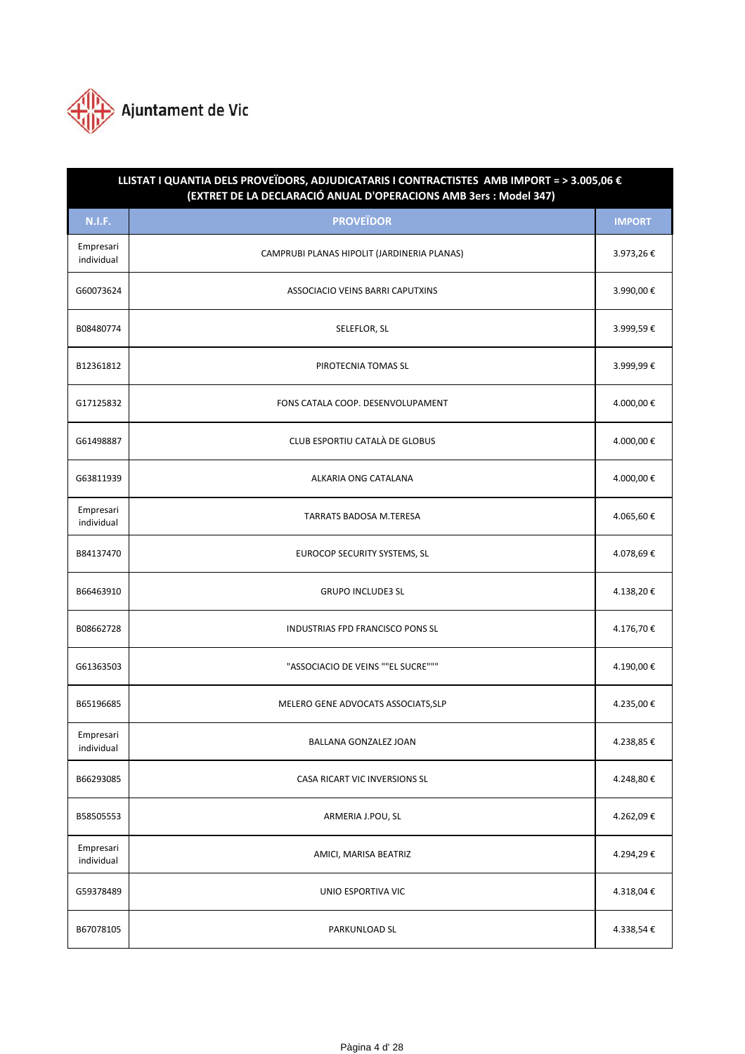

| LLISTAT I QUANTIA DELS PROVEÏDORS, ADJUDICATARIS I CONTRACTISTES AMB IMPORT = > 3.005,06 €<br>(EXTRET DE LA DECLARACIÓ ANUAL D'OPERACIONS AMB 3ers : Model 347) |                                             |               |  |
|-----------------------------------------------------------------------------------------------------------------------------------------------------------------|---------------------------------------------|---------------|--|
| <b>N.I.F.</b>                                                                                                                                                   | <b>PROVEÏDOR</b>                            | <b>IMPORT</b> |  |
| Empresari<br>individual                                                                                                                                         | CAMPRUBI PLANAS HIPOLIT (JARDINERIA PLANAS) | 3.973,26€     |  |
| G60073624                                                                                                                                                       | ASSOCIACIO VEINS BARRI CAPUTXINS            | 3.990,00€     |  |
| B08480774                                                                                                                                                       | SELEFLOR, SL                                | 3.999,59€     |  |
| B12361812                                                                                                                                                       | PIROTECNIA TOMAS SL                         | 3.999,99€     |  |
| G17125832                                                                                                                                                       | FONS CATALA COOP. DESENVOLUPAMENT           | 4.000,00€     |  |
| G61498887                                                                                                                                                       | CLUB ESPORTIU CATALÀ DE GLOBUS              | 4.000,00€     |  |
| G63811939                                                                                                                                                       | ALKARIA ONG CATALANA                        | 4.000,00€     |  |
| Empresari<br>individual                                                                                                                                         | <b>TARRATS BADOSA M.TERESA</b>              | 4.065,60€     |  |
| B84137470                                                                                                                                                       | EUROCOP SECURITY SYSTEMS, SL                | 4.078,69€     |  |
| B66463910                                                                                                                                                       | <b>GRUPO INCLUDE3 SL</b>                    | 4.138,20€     |  |
| B08662728                                                                                                                                                       | INDUSTRIAS FPD FRANCISCO PONS SL            | 4.176,70€     |  |
| G61363503                                                                                                                                                       | "ASSOCIACIO DE VEINS ""EL SUCRE"""          | 4.190,00€     |  |
| B65196685                                                                                                                                                       | MELERO GENE ADVOCATS ASSOCIATS, SLP         | 4.235,00€     |  |
| Empresari<br>individual                                                                                                                                         | BALLANA GONZALEZ JOAN                       | 4.238,85€     |  |
| B66293085                                                                                                                                                       | CASA RICART VIC INVERSIONS SL               | 4.248,80€     |  |
| B58505553                                                                                                                                                       | ARMERIA J.POU, SL                           | 4.262,09€     |  |
| Empresari<br>individual                                                                                                                                         | AMICI, MARISA BEATRIZ                       | 4.294,29€     |  |
| G59378489                                                                                                                                                       | UNIO ESPORTIVA VIC                          | 4.318,04€     |  |
| B67078105                                                                                                                                                       | PARKUNLOAD SL                               | 4.338,54€     |  |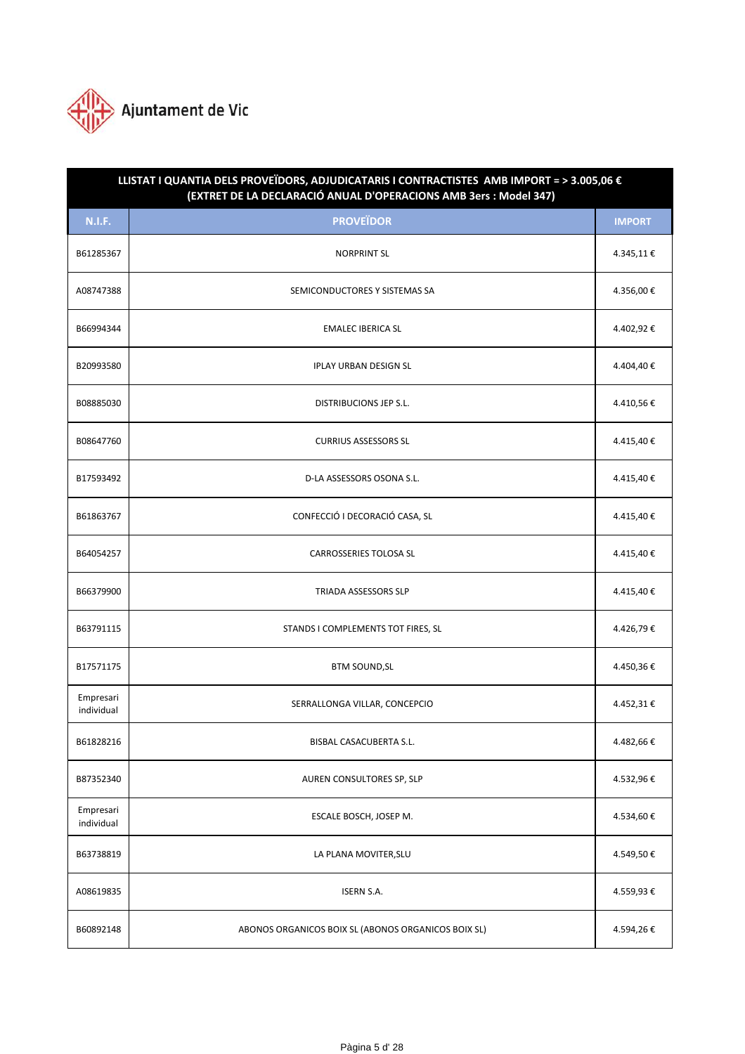

| LLISTAT I QUANTIA DELS PROVEÏDORS, ADJUDICATARIS I CONTRACTISTES AMB IMPORT = > 3.005,06 €<br>(EXTRET DE LA DECLARACIÓ ANUAL D'OPERACIONS AMB 3ers : Model 347) |                                                     |               |  |
|-----------------------------------------------------------------------------------------------------------------------------------------------------------------|-----------------------------------------------------|---------------|--|
| <b>N.I.F.</b>                                                                                                                                                   | <b>PROVEÏDOR</b>                                    | <b>IMPORT</b> |  |
| B61285367                                                                                                                                                       | <b>NORPRINT SL</b>                                  | 4.345,11€     |  |
| A08747388                                                                                                                                                       | SEMICONDUCTORES Y SISTEMAS SA                       | 4.356,00€     |  |
| B66994344                                                                                                                                                       | <b>EMALEC IBERICA SL</b>                            | 4.402,92€     |  |
| B20993580                                                                                                                                                       | <b>IPLAY URBAN DESIGN SL</b>                        | 4.404,40€     |  |
| B08885030                                                                                                                                                       | <b>DISTRIBUCIONS JEP S.L.</b>                       | 4.410,56€     |  |
| B08647760                                                                                                                                                       | <b>CURRIUS ASSESSORS SL</b>                         | 4.415,40€     |  |
| B17593492                                                                                                                                                       | D-LA ASSESSORS OSONA S.L.                           | 4.415,40€     |  |
| B61863767                                                                                                                                                       | CONFECCIÓ I DECORACIÓ CASA, SL                      | 4.415,40€     |  |
| B64054257                                                                                                                                                       | <b>CARROSSERIES TOLOSA SL</b>                       | 4.415,40€     |  |
| B66379900                                                                                                                                                       | TRIADA ASSESSORS SLP                                | 4.415,40€     |  |
| B63791115                                                                                                                                                       | STANDS I COMPLEMENTS TOT FIRES, SL                  | 4.426,79€     |  |
| B17571175                                                                                                                                                       | <b>BTM SOUND, SL</b>                                | 4.450,36€     |  |
| Empresari<br>individual                                                                                                                                         | SERRALLONGA VILLAR, CONCEPCIO                       | 4.452,31€     |  |
| B61828216                                                                                                                                                       | BISBAL CASACUBERTA S.L.                             | 4.482,66€     |  |
| B87352340                                                                                                                                                       | AUREN CONSULTORES SP, SLP                           | 4.532,96€     |  |
| Empresari<br>individual                                                                                                                                         | ESCALE BOSCH, JOSEP M.                              | 4.534,60€     |  |
| B63738819                                                                                                                                                       | LA PLANA MOVITER, SLU                               | 4.549,50€     |  |
| A08619835                                                                                                                                                       | <b>ISERN S.A.</b>                                   | 4.559,93€     |  |
| B60892148                                                                                                                                                       | ABONOS ORGANICOS BOIX SL (ABONOS ORGANICOS BOIX SL) | 4.594,26€     |  |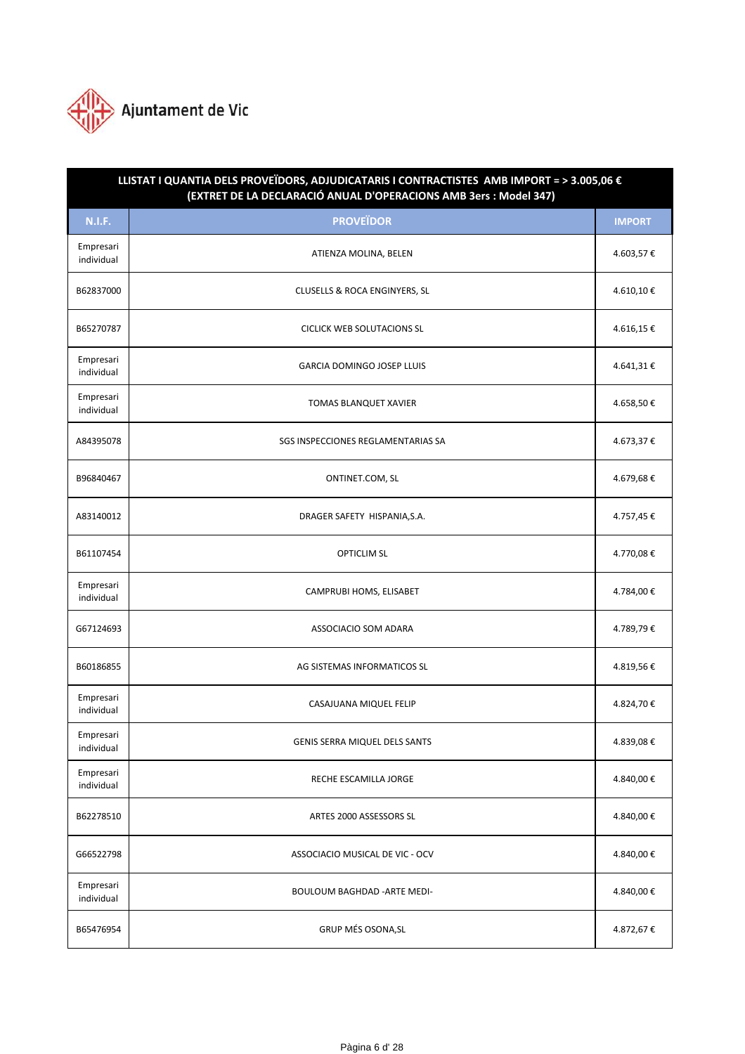

| LLISTAT I QUANTIA DELS PROVEÏDORS, ADJUDICATARIS I CONTRACTISTES AMB IMPORT = > 3.005,06 €<br>(EXTRET DE LA DECLARACIÓ ANUAL D'OPERACIONS AMB 3ers : Model 347) |                                          |               |  |
|-----------------------------------------------------------------------------------------------------------------------------------------------------------------|------------------------------------------|---------------|--|
| <b>N.I.F.</b>                                                                                                                                                   | <b>PROVEÏDOR</b>                         | <b>IMPORT</b> |  |
| Empresari<br>individual                                                                                                                                         | ATIENZA MOLINA, BELEN                    | 4.603,57€     |  |
| B62837000                                                                                                                                                       | <b>CLUSELLS &amp; ROCA ENGINYERS, SL</b> | 4.610,10€     |  |
| B65270787                                                                                                                                                       | <b>CICLICK WEB SOLUTACIONS SL</b>        | 4.616,15€     |  |
| Empresari<br>individual                                                                                                                                         | GARCIA DOMINGO JOSEP LLUIS               | 4.641,31€     |  |
| Empresari<br>individual                                                                                                                                         | TOMAS BLANQUET XAVIER                    | 4.658,50€     |  |
| A84395078                                                                                                                                                       | SGS INSPECCIONES REGLAMENTARIAS SA       | 4.673,37€     |  |
| B96840467                                                                                                                                                       | ONTINET.COM, SL                          | 4.679,68€     |  |
| A83140012                                                                                                                                                       | DRAGER SAFETY HISPANIA, S.A.             | 4.757,45€     |  |
| B61107454                                                                                                                                                       | <b>OPTICLIM SL</b>                       | 4.770,08€     |  |
| Empresari<br>individual                                                                                                                                         | CAMPRUBI HOMS, ELISABET                  | 4.784,00€     |  |
| G67124693                                                                                                                                                       | ASSOCIACIO SOM ADARA                     | 4.789,79€     |  |
| B60186855                                                                                                                                                       | AG SISTEMAS INFORMATICOS SL              | 4.819,56€     |  |
| Empresari<br>individual                                                                                                                                         | CASAJUANA MIQUEL FELIP                   | 4.824,70€     |  |
| Empresari<br>individual                                                                                                                                         | <b>GENIS SERRA MIQUEL DELS SANTS</b>     | 4.839,08€     |  |
| Empresari<br>individual                                                                                                                                         | RECHE ESCAMILLA JORGE                    | 4.840,00€     |  |
| B62278510                                                                                                                                                       | ARTES 2000 ASSESSORS SL                  | 4.840,00€     |  |
| G66522798                                                                                                                                                       | ASSOCIACIO MUSICAL DE VIC - OCV          | 4.840,00€     |  |
| Empresari<br>individual                                                                                                                                         | BOULOUM BAGHDAD - ARTE MEDI-             | 4.840,00€     |  |
| B65476954                                                                                                                                                       | GRUP MÉS OSONA, SL                       | 4.872,67€     |  |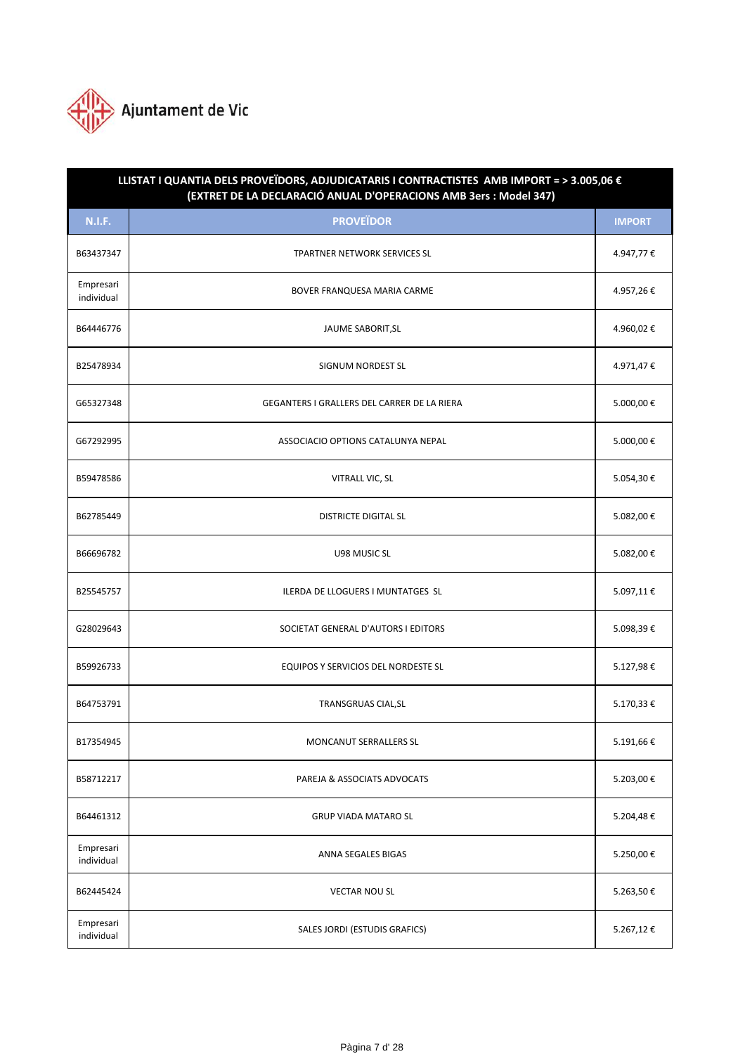

| LLISTAT I QUANTIA DELS PROVEÏDORS, ADJUDICATARIS I CONTRACTISTES AMB IMPORT = > 3.005,06 €<br>(EXTRET DE LA DECLARACIÓ ANUAL D'OPERACIONS AMB 3ers : Model 347) |                                             |               |  |
|-----------------------------------------------------------------------------------------------------------------------------------------------------------------|---------------------------------------------|---------------|--|
| <b>N.I.F.</b>                                                                                                                                                   | <b>PROVEÏDOR</b>                            | <b>IMPORT</b> |  |
| B63437347                                                                                                                                                       | TPARTNER NETWORK SERVICES SL                | 4.947,77€     |  |
| Empresari<br>individual                                                                                                                                         | BOVER FRANQUESA MARIA CARME                 | 4.957,26€     |  |
| B64446776                                                                                                                                                       | JAUME SABORIT, SL                           | 4.960,02€     |  |
| B25478934                                                                                                                                                       | SIGNUM NORDEST SL                           | 4.971,47€     |  |
| G65327348                                                                                                                                                       | GEGANTERS I GRALLERS DEL CARRER DE LA RIERA | 5.000,00€     |  |
| G67292995                                                                                                                                                       | ASSOCIACIO OPTIONS CATALUNYA NEPAL          | 5.000,00€     |  |
| B59478586                                                                                                                                                       | VITRALL VIC, SL                             | 5.054,30€     |  |
| B62785449                                                                                                                                                       | <b>DISTRICTE DIGITAL SL</b>                 | 5.082,00€     |  |
| B66696782                                                                                                                                                       | U98 MUSIC SL                                | 5.082,00€     |  |
| B25545757                                                                                                                                                       | ILERDA DE LLOGUERS I MUNTATGES SL           | 5.097,11€     |  |
| G28029643                                                                                                                                                       | SOCIETAT GENERAL D'AUTORS I EDITORS         | 5.098,39€     |  |
| B59926733                                                                                                                                                       | EQUIPOS Y SERVICIOS DEL NORDESTE SL         | 5.127,98€     |  |
| B64753791                                                                                                                                                       | TRANSGRUAS CIAL, SL                         | 5.170,33€     |  |
| B17354945                                                                                                                                                       | MONCANUT SERRALLERS SL                      | 5.191,66€     |  |
| B58712217                                                                                                                                                       | PAREJA & ASSOCIATS ADVOCATS                 | 5.203,00€     |  |
| B64461312                                                                                                                                                       | <b>GRUP VIADA MATARO SL</b>                 | 5.204,48€     |  |
| Empresari<br>individual                                                                                                                                         | ANNA SEGALES BIGAS                          | 5.250,00€     |  |
| B62445424                                                                                                                                                       | <b>VECTAR NOU SL</b>                        | 5.263,50€     |  |
| Empresari<br>individual                                                                                                                                         | SALES JORDI (ESTUDIS GRAFICS)               | 5.267,12€     |  |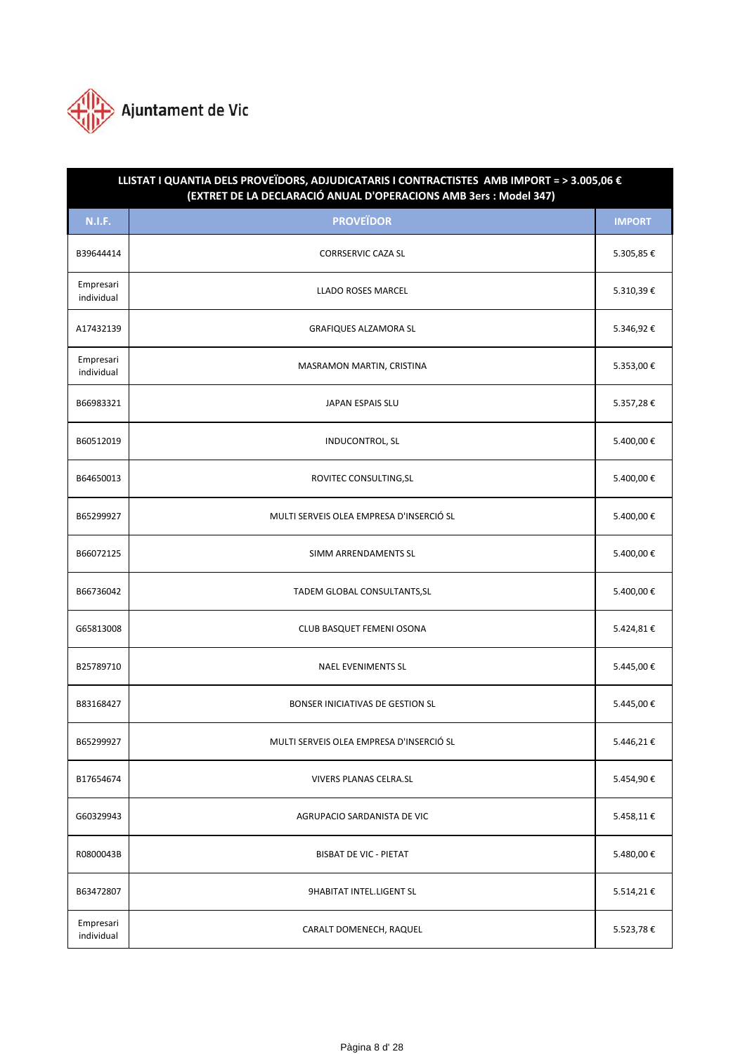

| LLISTAT I QUANTIA DELS PROVEÏDORS, ADJUDICATARIS I CONTRACTISTES AMB IMPORT = > 3.005,06 €<br>(EXTRET DE LA DECLARACIÓ ANUAL D'OPERACIONS AMB 3ers : Model 347) |                                          |               |  |
|-----------------------------------------------------------------------------------------------------------------------------------------------------------------|------------------------------------------|---------------|--|
| <b>N.I.F.</b>                                                                                                                                                   | <b>PROVEÏDOR</b>                         | <b>IMPORT</b> |  |
| B39644414                                                                                                                                                       | <b>CORRSERVIC CAZA SL</b>                | 5.305,85€     |  |
| Empresari<br>individual                                                                                                                                         | LLADO ROSES MARCEL                       | 5.310,39€     |  |
| A17432139                                                                                                                                                       | <b>GRAFIQUES ALZAMORA SL</b>             | 5.346,92€     |  |
| Empresari<br>individual                                                                                                                                         | MASRAMON MARTIN, CRISTINA                | 5.353,00€     |  |
| B66983321                                                                                                                                                       | JAPAN ESPAIS SLU                         | 5.357,28€     |  |
| B60512019                                                                                                                                                       | <b>INDUCONTROL, SL</b>                   | 5.400,00€     |  |
| B64650013                                                                                                                                                       | ROVITEC CONSULTING, SL                   | 5.400,00€     |  |
| B65299927                                                                                                                                                       | MULTI SERVEIS OLEA EMPRESA D'INSERCIÓ SL | 5.400,00€     |  |
| B66072125                                                                                                                                                       | <b>SIMM ARRENDAMENTS SL</b>              | 5.400,00€     |  |
| B66736042                                                                                                                                                       | TADEM GLOBAL CONSULTANTS, SL             | 5.400,00€     |  |
| G65813008                                                                                                                                                       | CLUB BASQUET FEMENI OSONA                | 5.424,81€     |  |
| B25789710                                                                                                                                                       | <b>NAEL EVENIMENTS SL</b>                | 5.445,00€     |  |
| B83168427                                                                                                                                                       | <b>BONSER INICIATIVAS DE GESTION SL</b>  | 5.445,00€     |  |
| B65299927                                                                                                                                                       | MULTI SERVEIS OLEA EMPRESA D'INSERCIÓ SL | 5.446,21€     |  |
| B17654674                                                                                                                                                       | <b>VIVERS PLANAS CELRA.SL</b>            | 5.454,90€     |  |
| G60329943                                                                                                                                                       | AGRUPACIO SARDANISTA DE VIC              | 5.458,11€     |  |
| R0800043B                                                                                                                                                       | <b>BISBAT DE VIC - PIETAT</b>            | 5.480,00€     |  |
| B63472807                                                                                                                                                       | <b>9HABITAT INTEL.LIGENT SL</b>          | 5.514,21€     |  |
| Empresari<br>individual                                                                                                                                         | CARALT DOMENECH, RAQUEL                  | 5.523,78€     |  |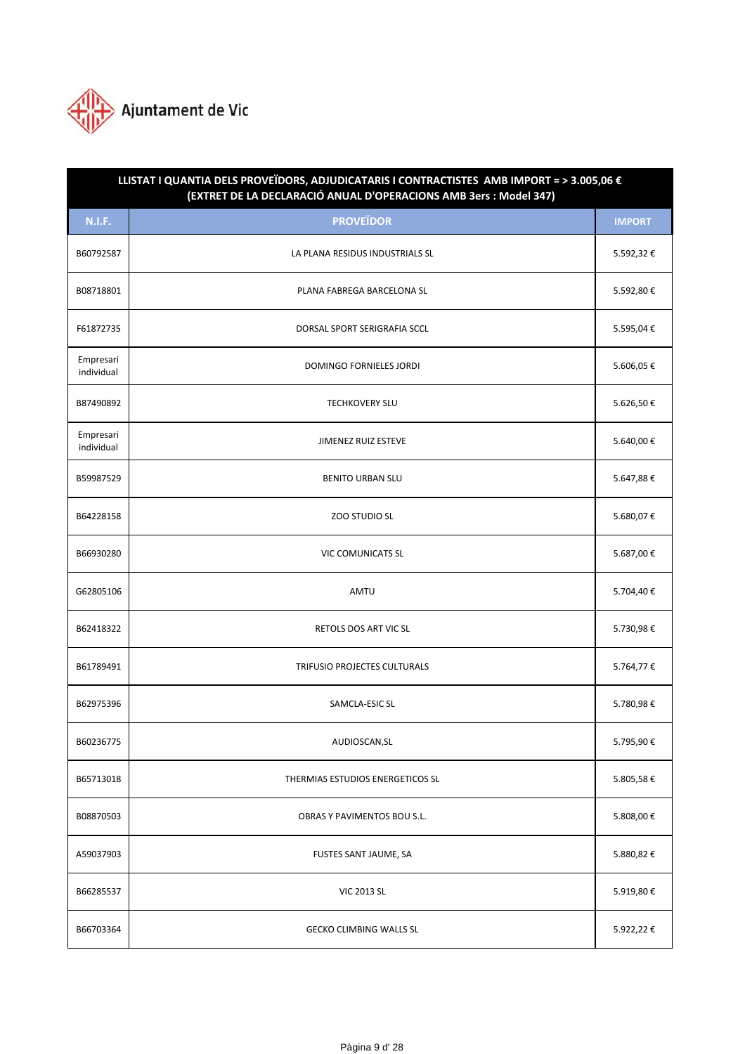

| LLISTAT I QUANTIA DELS PROVEÏDORS, ADJUDICATARIS I CONTRACTISTES AMB IMPORT = > 3.005,06 €<br>(EXTRET DE LA DECLARACIÓ ANUAL D'OPERACIONS AMB 3ers : Model 347) |                                  |               |  |
|-----------------------------------------------------------------------------------------------------------------------------------------------------------------|----------------------------------|---------------|--|
| <b>N.I.F.</b>                                                                                                                                                   | <b>PROVEÏDOR</b>                 | <b>IMPORT</b> |  |
| B60792587                                                                                                                                                       | LA PLANA RESIDUS INDUSTRIALS SL  | 5.592,32€     |  |
| B08718801                                                                                                                                                       | PLANA FABREGA BARCELONA SL       | 5.592,80€     |  |
| F61872735                                                                                                                                                       | DORSAL SPORT SERIGRAFIA SCCL     | 5.595,04€     |  |
| Empresari<br>individual                                                                                                                                         | <b>DOMINGO FORNIELES JORDI</b>   | 5.606,05€     |  |
| B87490892                                                                                                                                                       | <b>TECHKOVERY SLU</b>            | 5.626,50€     |  |
| Empresari<br>individual                                                                                                                                         | <b>JIMENEZ RUIZ ESTEVE</b>       | 5.640,00€     |  |
| B59987529                                                                                                                                                       | <b>BENITO URBAN SLU</b>          | 5.647,88€     |  |
| B64228158                                                                                                                                                       | ZOO STUDIO SL                    | 5.680,07€     |  |
| B66930280                                                                                                                                                       | <b>VIC COMUNICATS SL</b>         | 5.687,00€     |  |
| G62805106                                                                                                                                                       | AMTU                             | 5.704,40€     |  |
| B62418322                                                                                                                                                       | RETOLS DOS ART VIC SL            | 5.730,98€     |  |
| B61789491                                                                                                                                                       | TRIFUSIO PROJECTES CULTURALS     | 5.764,77€     |  |
| B62975396                                                                                                                                                       | SAMCLA-ESIC SL                   | 5.780,98€     |  |
| B60236775                                                                                                                                                       | AUDIOSCAN, SL                    | 5.795,90€     |  |
| B65713018                                                                                                                                                       | THERMIAS ESTUDIOS ENERGETICOS SL | 5.805,58€     |  |
| B08870503                                                                                                                                                       | OBRAS Y PAVIMENTOS BOU S.L.      | 5.808,00€     |  |
| A59037903                                                                                                                                                       | FUSTES SANT JAUME, SA            | 5.880,82€     |  |
| B66285537                                                                                                                                                       | <b>VIC 2013 SL</b>               | 5.919,80€     |  |
| B66703364                                                                                                                                                       | <b>GECKO CLIMBING WALLS SL</b>   | 5.922,22€     |  |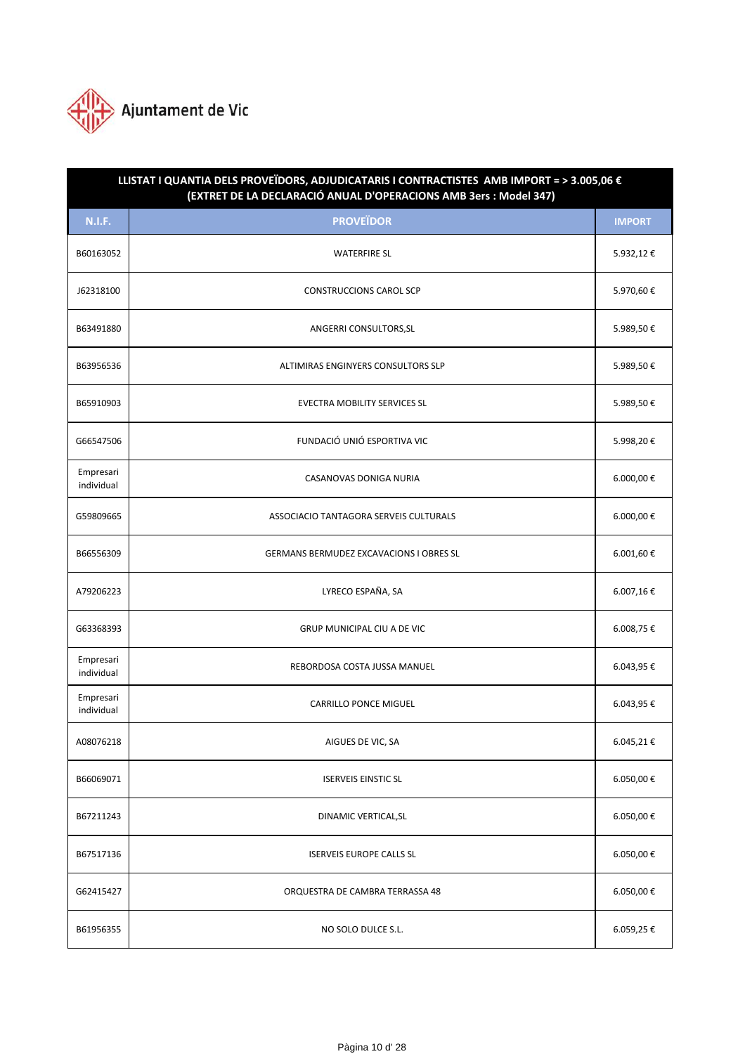

| LLISTAT I QUANTIA DELS PROVEÏDORS, ADJUDICATARIS I CONTRACTISTES AMB IMPORT = > 3.005,06 €<br>(EXTRET DE LA DECLARACIÓ ANUAL D'OPERACIONS AMB 3ers : Model 347) |                                                |               |  |
|-----------------------------------------------------------------------------------------------------------------------------------------------------------------|------------------------------------------------|---------------|--|
| <b>N.I.F.</b>                                                                                                                                                   | <b>PROVEÏDOR</b>                               | <b>IMPORT</b> |  |
| B60163052                                                                                                                                                       | <b>WATERFIRE SL</b>                            | 5.932,12€     |  |
| J62318100                                                                                                                                                       | <b>CONSTRUCCIONS CAROL SCP</b>                 | 5.970,60€     |  |
| B63491880                                                                                                                                                       | ANGERRI CONSULTORS, SL                         | 5.989,50€     |  |
| B63956536                                                                                                                                                       | ALTIMIRAS ENGINYERS CONSULTORS SLP             | 5.989,50€     |  |
| B65910903                                                                                                                                                       | <b>EVECTRA MOBILITY SERVICES SL</b>            | 5.989,50€     |  |
| G66547506                                                                                                                                                       | FUNDACIÓ UNIÓ ESPORTIVA VIC                    | 5.998,20€     |  |
| Empresari<br>individual                                                                                                                                         | CASANOVAS DONIGA NURIA                         | 6.000,00 €    |  |
| G59809665                                                                                                                                                       | ASSOCIACIO TANTAGORA SERVEIS CULTURALS         | 6.000,00 €    |  |
| B66556309                                                                                                                                                       | <b>GERMANS BERMUDEZ EXCAVACIONS I OBRES SL</b> | 6.001,60 €    |  |
| A79206223                                                                                                                                                       | LYRECO ESPAÑA, SA                              | 6.007,16€     |  |
| G63368393                                                                                                                                                       | <b>GRUP MUNICIPAL CIU A DE VIC</b>             | 6.008,75€     |  |
| Empresari<br>individual                                                                                                                                         | REBORDOSA COSTA JUSSA MANUEL                   | 6.043,95€     |  |
| Empresari<br>individual                                                                                                                                         | <b>CARRILLO PONCE MIGUEL</b>                   | 6.043,95 €    |  |
| A08076218                                                                                                                                                       | AIGUES DE VIC, SA                              | 6.045,21€     |  |
| B66069071                                                                                                                                                       | <b>ISERVEIS EINSTIC SL</b>                     | 6.050,00€     |  |
| B67211243                                                                                                                                                       | DINAMIC VERTICAL, SL                           | 6.050,00 €    |  |
| B67517136                                                                                                                                                       | <b>ISERVEIS EUROPE CALLS SL</b>                | 6.050,00€     |  |
| G62415427                                                                                                                                                       | ORQUESTRA DE CAMBRA TERRASSA 48                | 6.050,00€     |  |
| B61956355                                                                                                                                                       | NO SOLO DULCE S.L.                             | 6.059,25 €    |  |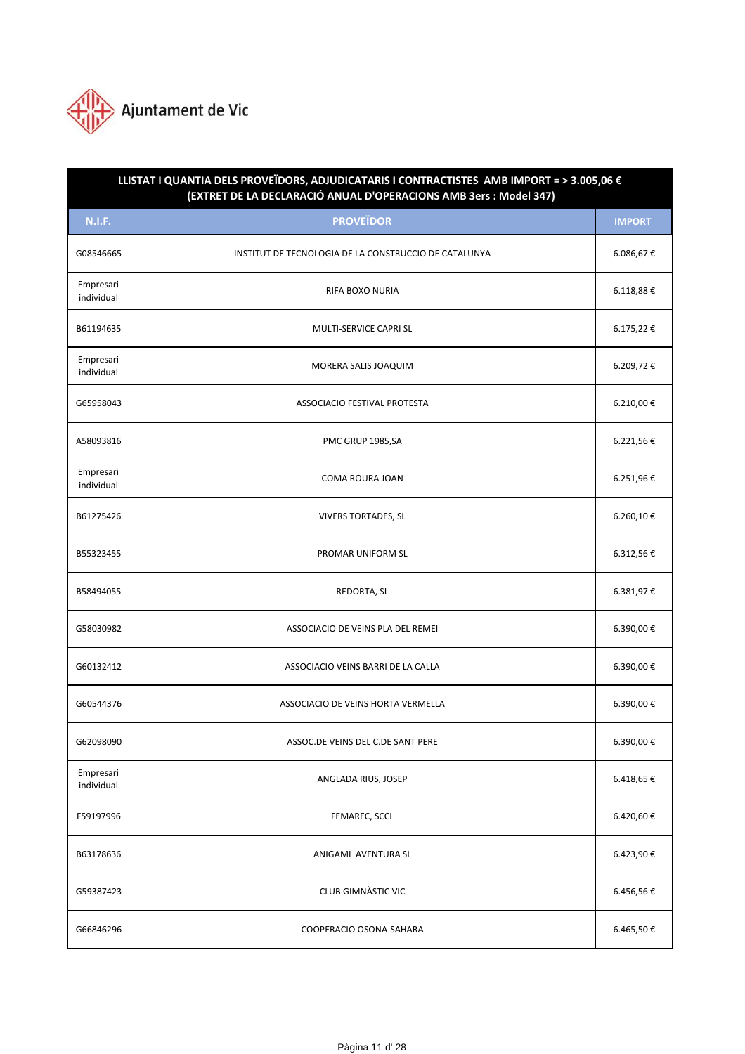

| LLISTAT I QUANTIA DELS PROVEÏDORS, ADJUDICATARIS I CONTRACTISTES AMB IMPORT = > 3.005,06 €<br>(EXTRET DE LA DECLARACIÓ ANUAL D'OPERACIONS AMB 3ers : Model 347) |                                                       |                |  |
|-----------------------------------------------------------------------------------------------------------------------------------------------------------------|-------------------------------------------------------|----------------|--|
| <b>N.I.F.</b>                                                                                                                                                   | <b>PROVEÏDOR</b>                                      | <b>IMPORT</b>  |  |
| G08546665                                                                                                                                                       | INSTITUT DE TECNOLOGIA DE LA CONSTRUCCIO DE CATALUNYA | 6.086,67€      |  |
| Empresari<br>individual                                                                                                                                         | RIFA BOXO NURIA                                       | $6.118,88 \in$ |  |
| B61194635                                                                                                                                                       | MULTI-SERVICE CAPRI SL                                | 6.175,22€      |  |
| Empresari<br>individual                                                                                                                                         | MORERA SALIS JOAQUIM                                  | 6.209,72€      |  |
| G65958043                                                                                                                                                       | ASSOCIACIO FESTIVAL PROTESTA                          | 6.210,00€      |  |
| A58093816                                                                                                                                                       | PMC GRUP 1985,SA                                      | 6.221,56€      |  |
| Empresari<br>individual                                                                                                                                         | <b>COMA ROURA JOAN</b>                                | 6.251,96€      |  |
| B61275426                                                                                                                                                       | <b>VIVERS TORTADES, SL</b>                            | 6.260,10€      |  |
| B55323455                                                                                                                                                       | PROMAR UNIFORM SL                                     | 6.312,56€      |  |
| B58494055                                                                                                                                                       | REDORTA, SL                                           | 6.381,97€      |  |
| G58030982                                                                                                                                                       | ASSOCIACIO DE VEINS PLA DEL REMEI                     | 6.390,00€      |  |
| G60132412                                                                                                                                                       | ASSOCIACIO VEINS BARRI DE LA CALLA                    | 6.390,00€      |  |
| G60544376                                                                                                                                                       | ASSOCIACIO DE VEINS HORTA VERMELLA                    | 6.390,00€      |  |
| G62098090                                                                                                                                                       | ASSOC.DE VEINS DEL C.DE SANT PERE                     | 6.390,00€      |  |
| Empresari<br>individual                                                                                                                                         | ANGLADA RIUS, JOSEP                                   | 6.418,65 €     |  |
| F59197996                                                                                                                                                       | FEMAREC, SCCL                                         | 6.420,60€      |  |
| B63178636                                                                                                                                                       | ANIGAMI AVENTURA SL                                   | 6.423,90€      |  |
| G59387423                                                                                                                                                       | <b>CLUB GIMNÀSTIC VIC</b>                             | 6.456,56€      |  |
| G66846296                                                                                                                                                       | COOPERACIO OSONA-SAHARA                               | 6.465,50€      |  |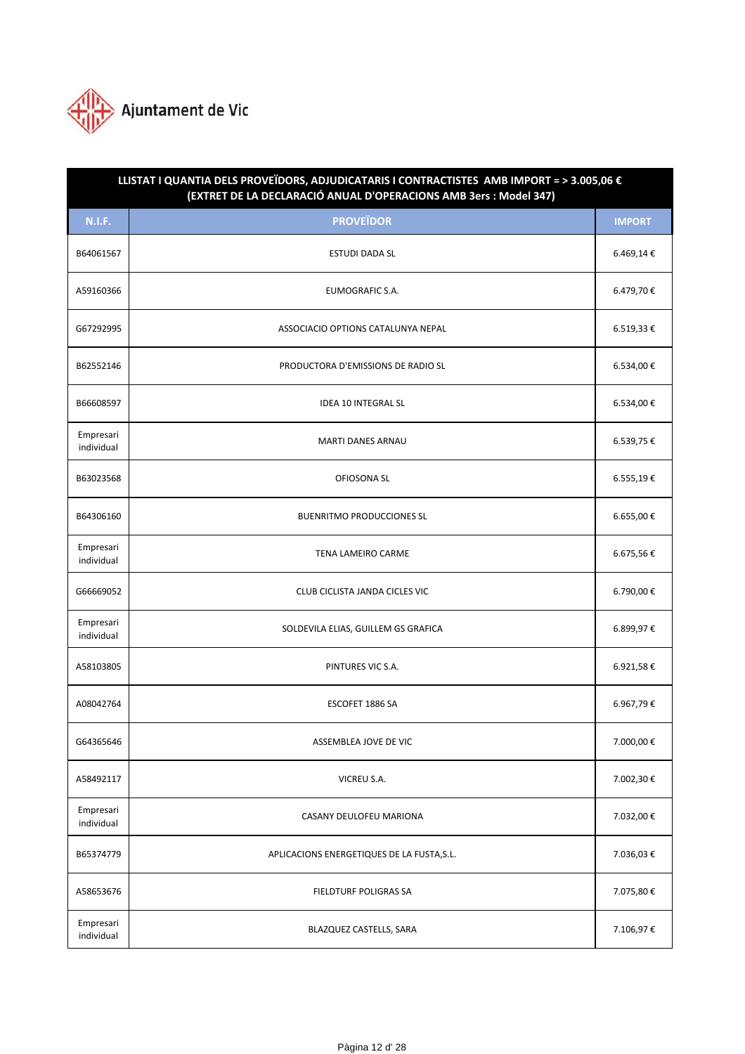

| LLISTAT I QUANTIA DELS PROVEÏDORS, ADJUDICATARIS I CONTRACTISTES AMB IMPORT = > 3.005,06 €<br>(EXTRET DE LA DECLARACIÓ ANUAL D'OPERACIONS AMB 3ers : Model 347) |                                            |               |  |
|-----------------------------------------------------------------------------------------------------------------------------------------------------------------|--------------------------------------------|---------------|--|
| <b>N.I.F.</b>                                                                                                                                                   | <b>PROVEÏDOR</b>                           | <b>IMPORT</b> |  |
| B64061567                                                                                                                                                       | <b>ESTUDI DADA SL</b>                      | 6.469,14€     |  |
| A59160366                                                                                                                                                       | <b>EUMOGRAFIC S.A.</b>                     | 6.479,70€     |  |
| G67292995                                                                                                                                                       | ASSOCIACIO OPTIONS CATALUNYA NEPAL         | 6.519,33€     |  |
| B62552146                                                                                                                                                       | PRODUCTORA D'EMISSIONS DE RADIO SL         | 6.534,00€     |  |
| B66608597                                                                                                                                                       | <b>IDEA 10 INTEGRAL SL</b>                 | 6.534,00€     |  |
| Empresari<br>individual                                                                                                                                         | <b>MARTI DANES ARNAU</b>                   | 6.539,75€     |  |
| B63023568                                                                                                                                                       | OFIOSONA SL                                | 6.555,19€     |  |
| B64306160                                                                                                                                                       | <b>BUENRITMO PRODUCCIONES SL</b>           | 6.655,00€     |  |
| Empresari<br>individual                                                                                                                                         | TENA LAMEIRO CARME                         | 6.675,56€     |  |
| G66669052                                                                                                                                                       | CLUB CICLISTA JANDA CICLES VIC             | 6.790,00€     |  |
| Empresari<br>individual                                                                                                                                         | SOLDEVILA ELIAS, GUILLEM GS GRAFICA        | 6.899,97€     |  |
| A58103805                                                                                                                                                       | PINTURES VIC S.A.                          | 6.921,58€     |  |
| A08042764                                                                                                                                                       | ESCOFET 1886 SA                            | 6.967,79€     |  |
| G64365646                                                                                                                                                       | ASSEMBLEA JOVE DE VIC                      | 7.000,00€     |  |
| A58492117                                                                                                                                                       | VICREU S.A.                                | 7.002,30€     |  |
| Empresari<br>individual                                                                                                                                         | CASANY DEULOFEU MARIONA                    | 7.032,00€     |  |
| B65374779                                                                                                                                                       | APLICACIONS ENERGETIQUES DE LA FUSTA, S.L. | 7.036,03€     |  |
| A58653676                                                                                                                                                       | FIELDTURF POLIGRAS SA                      | 7.075,80€     |  |
| Empresari<br>individual                                                                                                                                         | BLAZQUEZ CASTELLS, SARA                    | 7.106,97€     |  |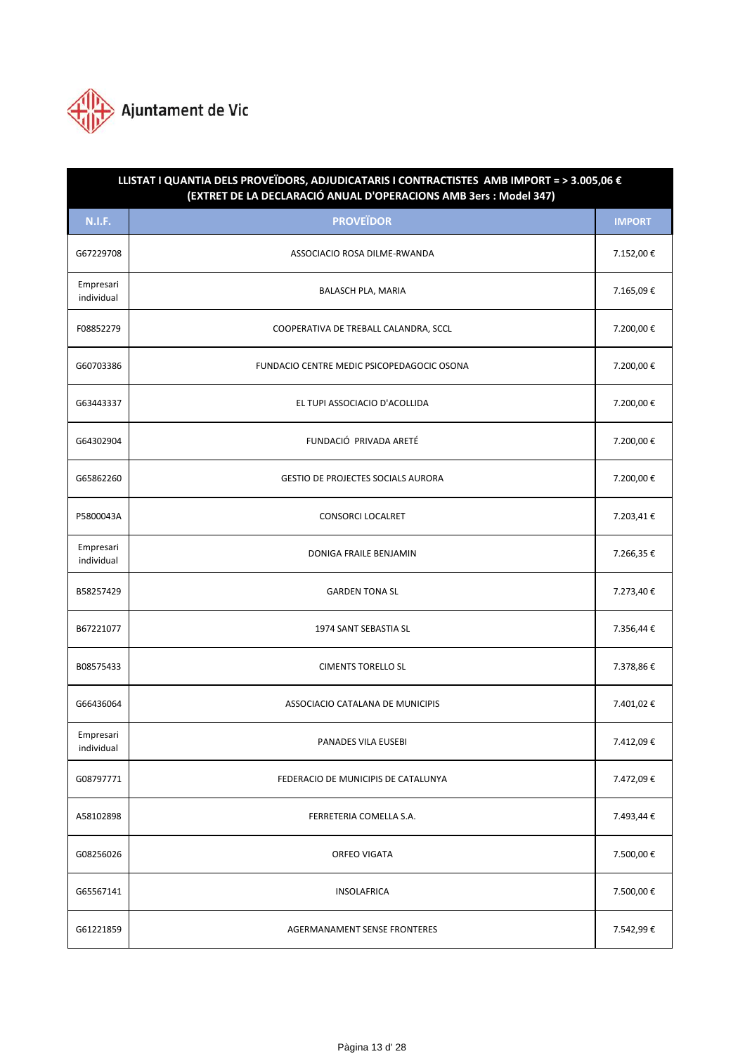

| LLISTAT I QUANTIA DELS PROVEÏDORS, ADJUDICATARIS I CONTRACTISTES AMB IMPORT = > 3.005,06 €<br>(EXTRET DE LA DECLARACIÓ ANUAL D'OPERACIONS AMB 3ers : Model 347) |                                            |               |  |
|-----------------------------------------------------------------------------------------------------------------------------------------------------------------|--------------------------------------------|---------------|--|
| <b>N.I.F.</b>                                                                                                                                                   | <b>PROVEÏDOR</b>                           | <b>IMPORT</b> |  |
| G67229708                                                                                                                                                       | ASSOCIACIO ROSA DILME-RWANDA               | 7.152,00€     |  |
| Empresari<br>individual                                                                                                                                         | <b>BALASCH PLA, MARIA</b>                  | 7.165,09€     |  |
| F08852279                                                                                                                                                       | COOPERATIVA DE TREBALL CALANDRA, SCCL      | 7.200,00€     |  |
| G60703386                                                                                                                                                       | FUNDACIO CENTRE MEDIC PSICOPEDAGOCIC OSONA | 7.200,00€     |  |
| G63443337                                                                                                                                                       | EL TUPI ASSOCIACIO D'ACOLLIDA              | 7.200,00€     |  |
| G64302904                                                                                                                                                       | FUNDACIÓ PRIVADA ARETÉ                     | 7.200,00€     |  |
| G65862260                                                                                                                                                       | <b>GESTIO DE PROJECTES SOCIALS AURORA</b>  | 7.200,00€     |  |
| P5800043A                                                                                                                                                       | <b>CONSORCI LOCALRET</b>                   | 7.203,41€     |  |
| Empresari<br>individual                                                                                                                                         | DONIGA FRAILE BENJAMIN                     | 7.266,35€     |  |
| B58257429                                                                                                                                                       | <b>GARDEN TONA SL</b>                      | 7.273,40€     |  |
| B67221077                                                                                                                                                       | 1974 SANT SEBASTIA SL                      | 7.356,44€     |  |
| B08575433                                                                                                                                                       | <b>CIMENTS TORELLO SL</b>                  | 7.378,86€     |  |
| G66436064                                                                                                                                                       | ASSOCIACIO CATALANA DE MUNICIPIS           | 7.401,02€     |  |
| Empresari<br>individual                                                                                                                                         | <b>PANADES VILA EUSEBI</b>                 | 7.412,09€     |  |
| G08797771                                                                                                                                                       | FEDERACIO DE MUNICIPIS DE CATALUNYA        | 7.472,09€     |  |
| A58102898                                                                                                                                                       | FERRETERIA COMELLA S.A.                    | 7.493,44 €    |  |
| G08256026                                                                                                                                                       | <b>ORFEO VIGATA</b>                        | 7.500,00€     |  |
| G65567141                                                                                                                                                       | <b>INSOLAFRICA</b>                         | 7.500,00€     |  |
| G61221859                                                                                                                                                       | AGERMANAMENT SENSE FRONTERES               | 7.542,99€     |  |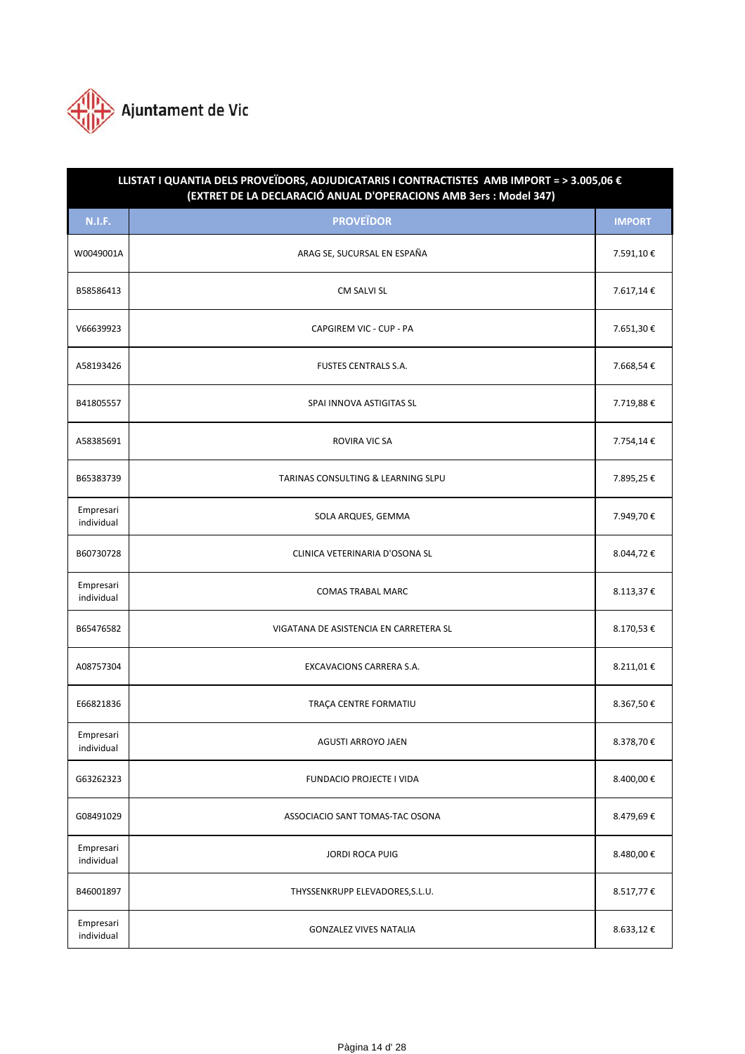

| LLISTAT I QUANTIA DELS PROVEÏDORS, ADJUDICATARIS I CONTRACTISTES AMB IMPORT = > 3.005,06 €<br>(EXTRET DE LA DECLARACIÓ ANUAL D'OPERACIONS AMB 3ers : Model 347) |                                        |               |  |
|-----------------------------------------------------------------------------------------------------------------------------------------------------------------|----------------------------------------|---------------|--|
| <b>N.I.F.</b>                                                                                                                                                   | <b>PROVEÏDOR</b>                       | <b>IMPORT</b> |  |
| W0049001A                                                                                                                                                       | ARAG SE, SUCURSAL EN ESPAÑA            | 7.591,10€     |  |
| B58586413                                                                                                                                                       | CM SALVI SL                            | 7.617,14€     |  |
| V66639923                                                                                                                                                       | CAPGIREM VIC - CUP - PA                | 7.651,30€     |  |
| A58193426                                                                                                                                                       | <b>FUSTES CENTRALS S.A.</b>            | 7.668,54€     |  |
| B41805557                                                                                                                                                       | SPAI INNOVA ASTIGITAS SL               | 7.719,88€     |  |
| A58385691                                                                                                                                                       | <b>ROVIRA VIC SA</b>                   | 7.754,14€     |  |
| B65383739                                                                                                                                                       | TARINAS CONSULTING & LEARNING SLPU     | 7.895,25€     |  |
| Empresari<br>individual                                                                                                                                         | SOLA ARQUES, GEMMA                     | 7.949,70€     |  |
| B60730728                                                                                                                                                       | CLINICA VETERINARIA D'OSONA SL         | 8.044,72€     |  |
| Empresari<br>individual                                                                                                                                         | <b>COMAS TRABAL MARC</b>               | 8.113,37€     |  |
| B65476582                                                                                                                                                       | VIGATANA DE ASISTENCIA EN CARRETERA SL | 8.170,53€     |  |
| A08757304                                                                                                                                                       | EXCAVACIONS CARRERA S.A.               | 8.211,01€     |  |
| E66821836                                                                                                                                                       | TRAÇA CENTRE FORMATIU                  | 8.367,50 €    |  |
| Empresari<br>individual                                                                                                                                         | <b>AGUSTI ARROYO JAEN</b>              | 8.378,70€     |  |
| G63262323                                                                                                                                                       | <b>FUNDACIO PROJECTE I VIDA</b>        | 8.400,00€     |  |
| G08491029                                                                                                                                                       | ASSOCIACIO SANT TOMAS-TAC OSONA        | 8.479,69€     |  |
| Empresari<br>individual                                                                                                                                         | <b>JORDI ROCA PUIG</b>                 | 8.480,00€     |  |
| B46001897                                                                                                                                                       | THYSSENKRUPP ELEVADORES, S.L.U.        | 8.517,77€     |  |
| Empresari<br>individual                                                                                                                                         | <b>GONZALEZ VIVES NATALIA</b>          | 8.633,12€     |  |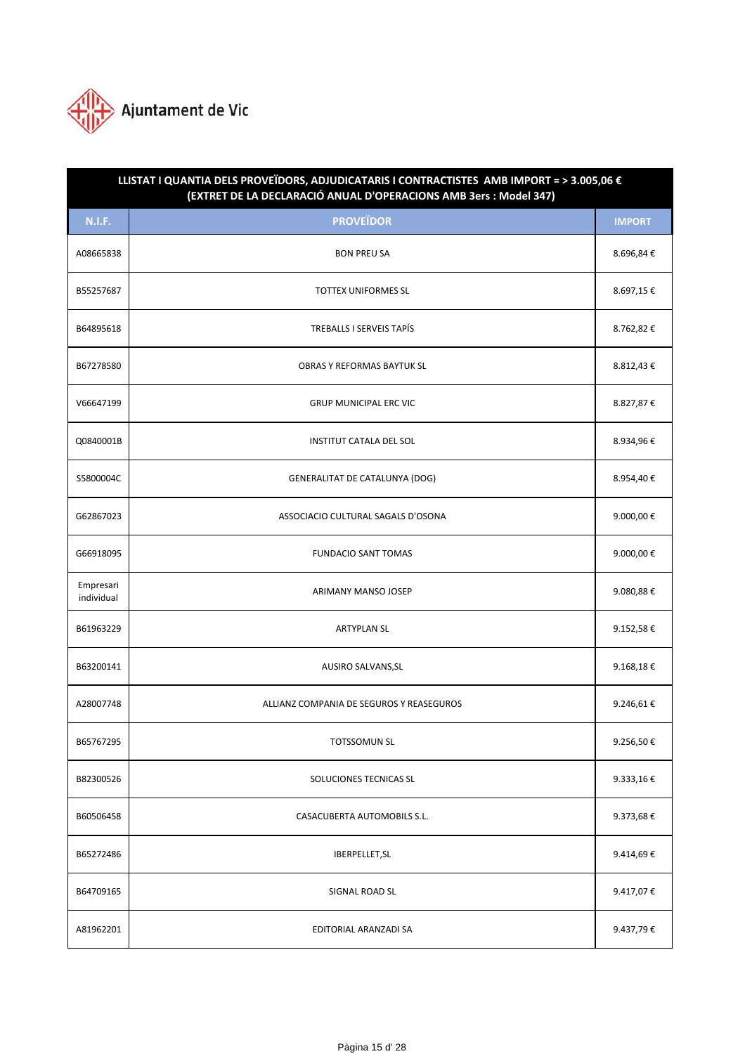

| LLISTAT I QUANTIA DELS PROVEÏDORS, ADJUDICATARIS I CONTRACTISTES AMB IMPORT = > 3.005,06 €<br>(EXTRET DE LA DECLARACIÓ ANUAL D'OPERACIONS AMB 3ers : Model 347) |                                          |               |  |
|-----------------------------------------------------------------------------------------------------------------------------------------------------------------|------------------------------------------|---------------|--|
| <b>N.I.F.</b>                                                                                                                                                   | <b>PROVEÏDOR</b>                         | <b>IMPORT</b> |  |
| A08665838                                                                                                                                                       | <b>BON PREU SA</b>                       | 8.696,84€     |  |
| B55257687                                                                                                                                                       | <b>TOTTEX UNIFORMES SL</b>               | 8.697,15€     |  |
| B64895618                                                                                                                                                       | TREBALLS I SERVEIS TAPÍS                 | 8.762,82€     |  |
| B67278580                                                                                                                                                       | OBRAS Y REFORMAS BAYTUK SL               | 8.812,43€     |  |
| V66647199                                                                                                                                                       | <b>GRUP MUNICIPAL ERC VIC</b>            | 8.827,87€     |  |
| Q0840001B                                                                                                                                                       | <b>INSTITUT CATALA DEL SOL</b>           | 8.934,96€     |  |
| S5800004C                                                                                                                                                       | <b>GENERALITAT DE CATALUNYA (DOG)</b>    | 8.954,40€     |  |
| G62867023                                                                                                                                                       | ASSOCIACIO CULTURAL SAGALS D'OSONA       | 9.000,00€     |  |
| G66918095                                                                                                                                                       | <b>FUNDACIO SANT TOMAS</b>               | 9.000,00€     |  |
| Empresari<br>individual                                                                                                                                         | ARIMANY MANSO JOSEP                      | 9.080,88€     |  |
| B61963229                                                                                                                                                       | <b>ARTYPLAN SL</b>                       | 9.152,58€     |  |
| B63200141                                                                                                                                                       | AUSIRO SALVANS, SL                       | 9.168,18 €    |  |
| A28007748                                                                                                                                                       | ALLIANZ COMPANIA DE SEGUROS Y REASEGUROS | 9.246,61€     |  |
| B65767295                                                                                                                                                       | <b>TOTSSOMUN SL</b>                      | 9.256,50€     |  |
| B82300526                                                                                                                                                       | SOLUCIONES TECNICAS SL                   | 9.333,16€     |  |
| B60506458                                                                                                                                                       | CASACUBERTA AUTOMOBILS S.L.              | 9.373,68€     |  |
| B65272486                                                                                                                                                       | IBERPELLET, SL                           | 9.414,69€     |  |
| B64709165                                                                                                                                                       | SIGNAL ROAD SL                           | 9.417,07€     |  |
| A81962201                                                                                                                                                       | EDITORIAL ARANZADI SA                    | 9.437,79€     |  |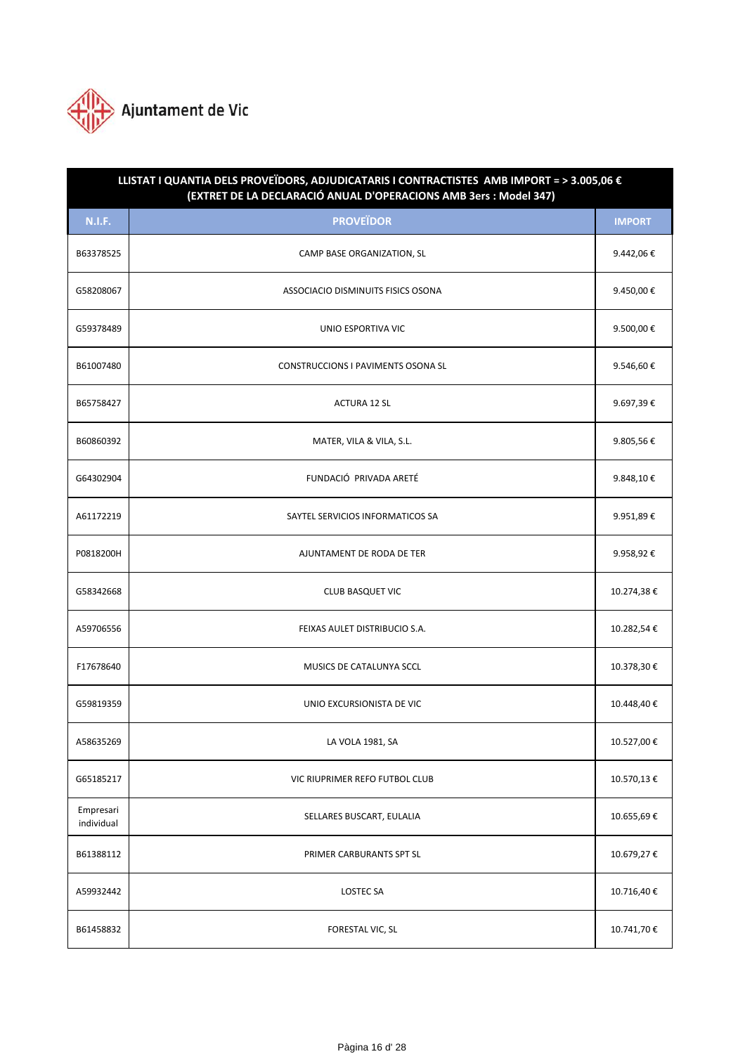

| LLISTAT I QUANTIA DELS PROVEÏDORS, ADJUDICATARIS I CONTRACTISTES AMB IMPORT = > 3.005,06 €<br>(EXTRET DE LA DECLARACIÓ ANUAL D'OPERACIONS AMB 3ers : Model 347) |                                           |               |  |
|-----------------------------------------------------------------------------------------------------------------------------------------------------------------|-------------------------------------------|---------------|--|
| <b>N.I.F.</b>                                                                                                                                                   | <b>PROVEÏDOR</b>                          | <b>IMPORT</b> |  |
| B63378525                                                                                                                                                       | CAMP BASE ORGANIZATION, SL                | 9.442,06€     |  |
| G58208067                                                                                                                                                       | ASSOCIACIO DISMINUITS FISICS OSONA        | 9.450,00€     |  |
| G59378489                                                                                                                                                       | UNIO ESPORTIVA VIC                        | 9.500,00€     |  |
| B61007480                                                                                                                                                       | <b>CONSTRUCCIONS I PAVIMENTS OSONA SL</b> | 9.546,60€     |  |
| B65758427                                                                                                                                                       | <b>ACTURA 12 SL</b>                       | 9.697,39€     |  |
| B60860392                                                                                                                                                       | MATER, VILA & VILA, S.L.                  | 9.805,56€     |  |
| G64302904                                                                                                                                                       | FUNDACIÓ PRIVADA ARETÉ                    | 9.848,10€     |  |
| A61172219                                                                                                                                                       | SAYTEL SERVICIOS INFORMATICOS SA          | 9.951,89€     |  |
| P0818200H                                                                                                                                                       | AJUNTAMENT DE RODA DE TER                 | 9.958,92€     |  |
| G58342668                                                                                                                                                       | <b>CLUB BASQUET VIC</b>                   | 10.274,38€    |  |
| A59706556                                                                                                                                                       | FEIXAS AULET DISTRIBUCIO S.A.             | 10.282,54€    |  |
| F17678640                                                                                                                                                       | MUSICS DE CATALUNYA SCCL                  | 10.378,30€    |  |
| G59819359                                                                                                                                                       | UNIO EXCURSIONISTA DE VIC                 | 10.448,40€    |  |
| A58635269                                                                                                                                                       | LA VOLA 1981, SA                          | 10.527,00 €   |  |
| G65185217                                                                                                                                                       | VIC RIUPRIMER REFO FUTBOL CLUB            | 10.570,13€    |  |
| Empresari<br>individual                                                                                                                                         | SELLARES BUSCART, EULALIA                 | 10.655,69€    |  |
| B61388112                                                                                                                                                       | PRIMER CARBURANTS SPT SL                  | 10.679,27€    |  |
| A59932442                                                                                                                                                       | <b>LOSTEC SA</b>                          | 10.716,40€    |  |
| B61458832                                                                                                                                                       | FORESTAL VIC, SL                          | 10.741,70 €   |  |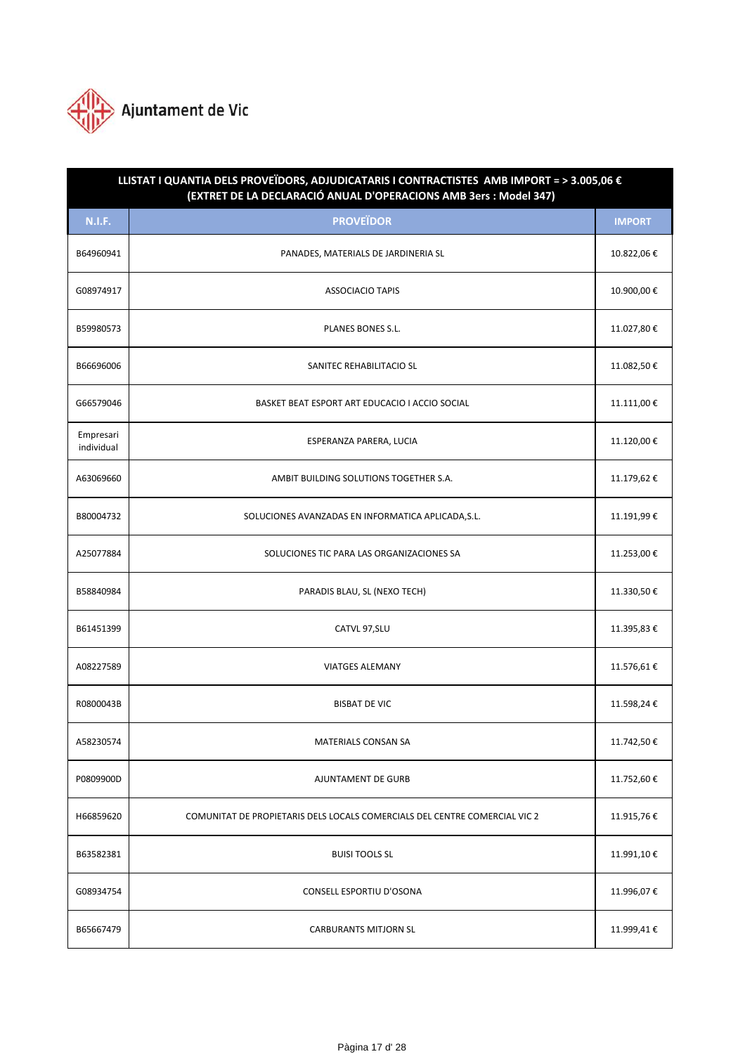

| LLISTAT I QUANTIA DELS PROVEÏDORS, ADJUDICATARIS I CONTRACTISTES AMB IMPORT = > 3.005,06 €<br>(EXTRET DE LA DECLARACIÓ ANUAL D'OPERACIONS AMB 3ers : Model 347) |                                                                            |               |  |
|-----------------------------------------------------------------------------------------------------------------------------------------------------------------|----------------------------------------------------------------------------|---------------|--|
| <b>N.I.F.</b>                                                                                                                                                   | <b>PROVEÏDOR</b>                                                           | <b>IMPORT</b> |  |
| B64960941                                                                                                                                                       | PANADES, MATERIALS DE JARDINERIA SL                                        | 10.822,06€    |  |
| G08974917                                                                                                                                                       | <b>ASSOCIACIO TAPIS</b>                                                    | 10.900,00€    |  |
| B59980573                                                                                                                                                       | <b>PLANES BONES S.L.</b>                                                   | 11.027,80€    |  |
| B66696006                                                                                                                                                       | SANITEC REHABILITACIO SL                                                   | 11.082,50€    |  |
| G66579046                                                                                                                                                       | BASKET BEAT ESPORT ART EDUCACIO I ACCIO SOCIAL                             | 11.111,00 €   |  |
| Empresari<br>individual                                                                                                                                         | ESPERANZA PARERA, LUCIA                                                    | 11.120,00€    |  |
| A63069660                                                                                                                                                       | AMBIT BUILDING SOLUTIONS TOGETHER S.A.                                     | 11.179,62€    |  |
| B80004732                                                                                                                                                       | SOLUCIONES AVANZADAS EN INFORMATICA APLICADA, S.L.                         | 11.191,99€    |  |
| A25077884                                                                                                                                                       | SOLUCIONES TIC PARA LAS ORGANIZACIONES SA                                  | 11.253,00€    |  |
| B58840984                                                                                                                                                       | PARADIS BLAU, SL (NEXO TECH)                                               | 11.330,50€    |  |
| B61451399                                                                                                                                                       | CATVL 97, SLU                                                              | 11.395,83€    |  |
| A08227589                                                                                                                                                       | <b>VIATGES ALEMANY</b>                                                     | 11.576,61€    |  |
| R0800043B                                                                                                                                                       | <b>BISBAT DE VIC</b>                                                       | 11.598,24€    |  |
| A58230574                                                                                                                                                       | MATERIALS CONSAN SA                                                        | 11.742,50€    |  |
| P0809900D                                                                                                                                                       | <b>AJUNTAMENT DE GURB</b>                                                  | 11.752,60€    |  |
| H66859620                                                                                                                                                       | COMUNITAT DE PROPIETARIS DELS LOCALS COMERCIALS DEL CENTRE COMERCIAL VIC 2 | 11.915,76€    |  |
| B63582381                                                                                                                                                       | <b>BUISI TOOLS SL</b>                                                      | 11.991,10€    |  |
| G08934754                                                                                                                                                       | CONSELL ESPORTIU D'OSONA                                                   | 11.996,07€    |  |
| B65667479                                                                                                                                                       | <b>CARBURANTS MITJORN SL</b>                                               | 11.999,41€    |  |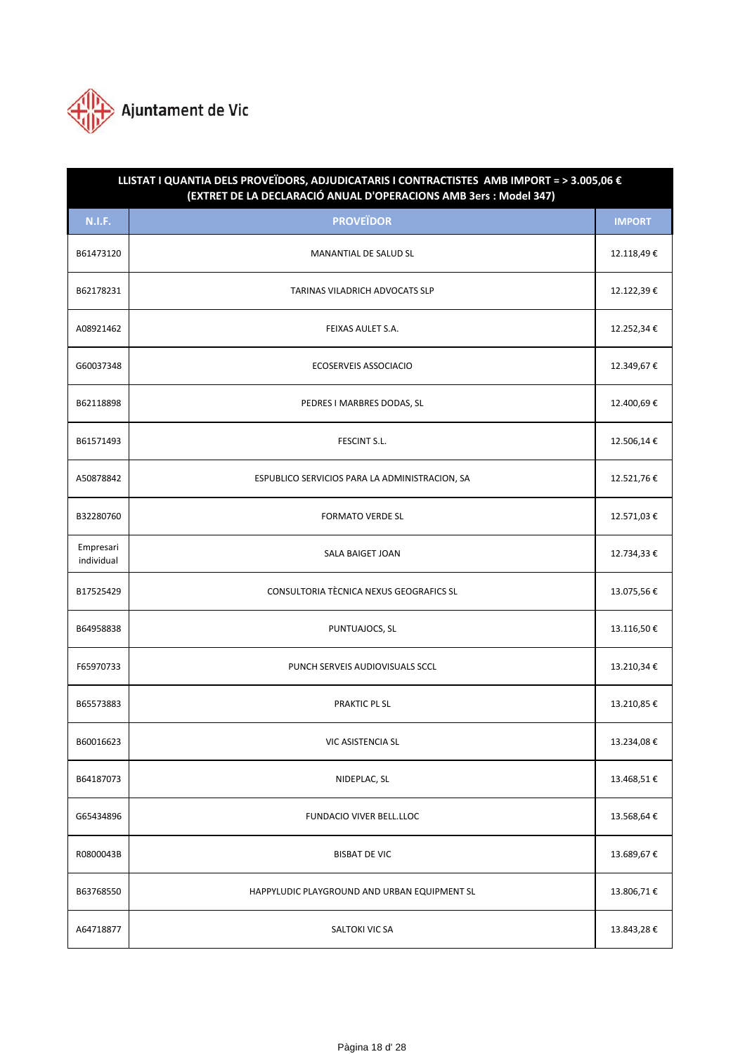

| LLISTAT I QUANTIA DELS PROVEÏDORS, ADJUDICATARIS I CONTRACTISTES AMB IMPORT = > 3.005,06 €<br>(EXTRET DE LA DECLARACIÓ ANUAL D'OPERACIONS AMB 3ers : Model 347) |                                                |               |  |
|-----------------------------------------------------------------------------------------------------------------------------------------------------------------|------------------------------------------------|---------------|--|
| <b>N.I.F.</b>                                                                                                                                                   | <b>PROVEÏDOR</b>                               | <b>IMPORT</b> |  |
| B61473120                                                                                                                                                       | MANANTIAL DE SALUD SL                          | 12.118,49€    |  |
| B62178231                                                                                                                                                       | TARINAS VILADRICH ADVOCATS SLP                 | 12.122,39€    |  |
| A08921462                                                                                                                                                       | FEIXAS AULET S.A.                              | 12.252,34 €   |  |
| G60037348                                                                                                                                                       | ECOSERVEIS ASSOCIACIO                          | 12.349,67€    |  |
| B62118898                                                                                                                                                       | PEDRES I MARBRES DODAS, SL                     | 12.400,69€    |  |
| B61571493                                                                                                                                                       | FESCINT S.L.                                   | 12.506,14€    |  |
| A50878842                                                                                                                                                       | ESPUBLICO SERVICIOS PARA LA ADMINISTRACION, SA | 12.521,76€    |  |
| B32280760                                                                                                                                                       | <b>FORMATO VERDE SL</b>                        | 12.571,03€    |  |
| Empresari<br>individual                                                                                                                                         | SALA BAIGET JOAN                               | 12.734,33 €   |  |
| B17525429                                                                                                                                                       | CONSULTORIA TÈCNICA NEXUS GEOGRAFICS SL        | 13.075,56€    |  |
| B64958838                                                                                                                                                       | PUNTUAJOCS, SL                                 | 13.116,50€    |  |
| F65970733                                                                                                                                                       | PUNCH SERVEIS AUDIOVISUALS SCCL                | 13.210,34€    |  |
| B65573883                                                                                                                                                       | PRAKTIC PL SL                                  | 13.210,85 €   |  |
| B60016623                                                                                                                                                       | <b>VIC ASISTENCIA SL</b>                       | 13.234,08€    |  |
| B64187073                                                                                                                                                       | NIDEPLAC, SL                                   | 13.468,51€    |  |
| G65434896                                                                                                                                                       | FUNDACIO VIVER BELL.LLOC                       | 13.568,64 €   |  |
| R0800043B                                                                                                                                                       | <b>BISBAT DE VIC</b>                           | 13.689,67€    |  |
| B63768550                                                                                                                                                       | HAPPYLUDIC PLAYGROUND AND URBAN EQUIPMENT SL   | 13.806,71€    |  |
| A64718877                                                                                                                                                       | SALTOKI VIC SA                                 | 13.843,28€    |  |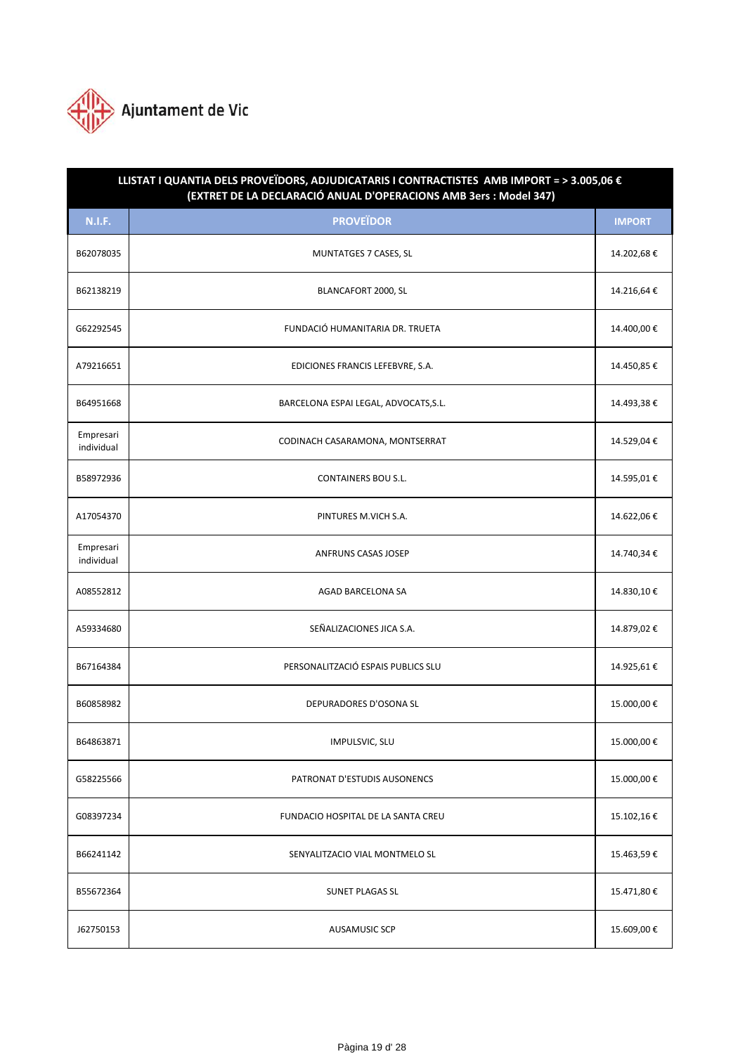

| LLISTAT I QUANTIA DELS PROVEÏDORS, ADJUDICATARIS I CONTRACTISTES AMB IMPORT = > 3.005,06 €<br>(EXTRET DE LA DECLARACIÓ ANUAL D'OPERACIONS AMB 3ers : Model 347) |                                       |               |  |
|-----------------------------------------------------------------------------------------------------------------------------------------------------------------|---------------------------------------|---------------|--|
| <b>N.I.F.</b>                                                                                                                                                   | <b>PROVEÏDOR</b>                      | <b>IMPORT</b> |  |
| B62078035                                                                                                                                                       | MUNTATGES 7 CASES, SL                 | 14.202,68€    |  |
| B62138219                                                                                                                                                       | BLANCAFORT 2000, SL                   | 14.216,64€    |  |
| G62292545                                                                                                                                                       | FUNDACIÓ HUMANITARIA DR. TRUETA       | 14.400,00€    |  |
| A79216651                                                                                                                                                       | EDICIONES FRANCIS LEFEBVRE, S.A.      | 14.450,85€    |  |
| B64951668                                                                                                                                                       | BARCELONA ESPAI LEGAL, ADVOCATS, S.L. | 14.493,38€    |  |
| Empresari<br>individual                                                                                                                                         | CODINACH CASARAMONA, MONTSERRAT       | 14.529,04€    |  |
| B58972936                                                                                                                                                       | <b>CONTAINERS BOU S.L.</b>            | 14.595,01€    |  |
| A17054370                                                                                                                                                       | PINTURES M.VICH S.A.                  | 14.622,06€    |  |
| Empresari<br>individual                                                                                                                                         | ANFRUNS CASAS JOSEP                   | 14.740,34€    |  |
| A08552812                                                                                                                                                       | AGAD BARCELONA SA                     | 14.830,10€    |  |
| A59334680                                                                                                                                                       | SEÑALIZACIONES JICA S.A.              | 14.879,02€    |  |
| B67164384                                                                                                                                                       | PERSONALITZACIÓ ESPAIS PUBLICS SLU    | 14.925,61€    |  |
| B60858982                                                                                                                                                       | DEPURADORES D'OSONA SL                | 15.000,00€    |  |
| B64863871                                                                                                                                                       | IMPULSVIC, SLU                        | 15.000,00€    |  |
| G58225566                                                                                                                                                       | PATRONAT D'ESTUDIS AUSONENCS          | 15.000,00€    |  |
| G08397234                                                                                                                                                       | FUNDACIO HOSPITAL DE LA SANTA CREU    | 15.102,16€    |  |
| B66241142                                                                                                                                                       | SENYALITZACIO VIAL MONTMELO SL        | 15.463,59€    |  |
| B55672364                                                                                                                                                       | <b>SUNET PLAGAS SL</b>                | 15.471,80€    |  |
| J62750153                                                                                                                                                       | <b>AUSAMUSIC SCP</b>                  | 15.609,00€    |  |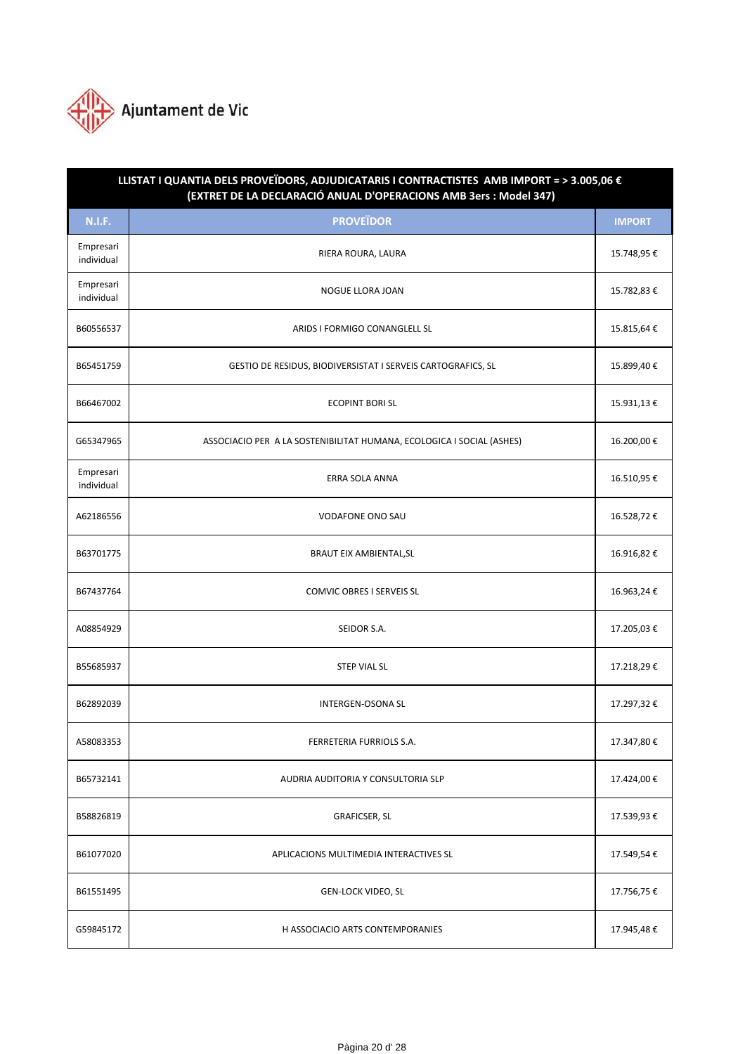

| LLISTAT I QUANTIA DELS PROVEÏDORS, ADJUDICATARIS I CONTRACTISTES AMB IMPORT = > 3.005,06 €<br>(EXTRET DE LA DECLARACIÓ ANUAL D'OPERACIONS AMB 3ers : Model 347) |                                                                       |               |  |
|-----------------------------------------------------------------------------------------------------------------------------------------------------------------|-----------------------------------------------------------------------|---------------|--|
| <b>N.I.F.</b>                                                                                                                                                   | <b>PROVEÏDOR</b>                                                      | <b>IMPORT</b> |  |
| Empresari<br>individual                                                                                                                                         | RIERA ROURA, LAURA                                                    | 15.748,95 €   |  |
| Empresari<br>individual                                                                                                                                         | NOGUE LLORA JOAN                                                      | 15.782,83 €   |  |
| B60556537                                                                                                                                                       | ARIDS I FORMIGO CONANGLELL SL                                         | 15.815,64 €   |  |
| B65451759                                                                                                                                                       | GESTIO DE RESIDUS, BIODIVERSISTAT I SERVEIS CARTOGRAFICS, SL          | 15.899,40€    |  |
| B66467002                                                                                                                                                       | <b>ECOPINT BORI SL</b>                                                | 15.931,13€    |  |
| G65347965                                                                                                                                                       | ASSOCIACIO PER A LA SOSTENIBILITAT HUMANA, ECOLOGICA I SOCIAL (ASHES) | 16.200,00€    |  |
| Empresari<br>individual                                                                                                                                         | ERRA SOLA ANNA                                                        | 16.510,95€    |  |
| A62186556                                                                                                                                                       | <b>VODAFONE ONO SAU</b>                                               | 16.528,72€    |  |
| B63701775                                                                                                                                                       | BRAUT EIX AMBIENTAL, SL                                               | 16.916,82€    |  |
| B67437764                                                                                                                                                       | COMVIC OBRES I SERVEIS SL                                             | 16.963,24€    |  |
| A08854929                                                                                                                                                       | SEIDOR S.A.                                                           | 17.205,03€    |  |
| B55685937                                                                                                                                                       | <b>STEP VIAL SL</b>                                                   | 17.218,29€    |  |
| B62892039                                                                                                                                                       | <b>INTERGEN-OSONA SL</b>                                              | 17.297,32€    |  |
| A58083353                                                                                                                                                       | FERRETERIA FURRIOLS S.A.                                              | 17.347,80€    |  |
| B65732141                                                                                                                                                       | AUDRIA AUDITORIA Y CONSULTORIA SLP                                    | 17.424,00 €   |  |
| B58826819                                                                                                                                                       | <b>GRAFICSER, SL</b>                                                  | 17.539,93€    |  |
| B61077020                                                                                                                                                       | APLICACIONS MULTIMEDIA INTERACTIVES SL                                | 17.549,54€    |  |
| B61551495                                                                                                                                                       | GEN-LOCK VIDEO, SL                                                    | 17.756,75€    |  |
| G59845172                                                                                                                                                       | H ASSOCIACIO ARTS CONTEMPORANIES                                      | 17.945,48€    |  |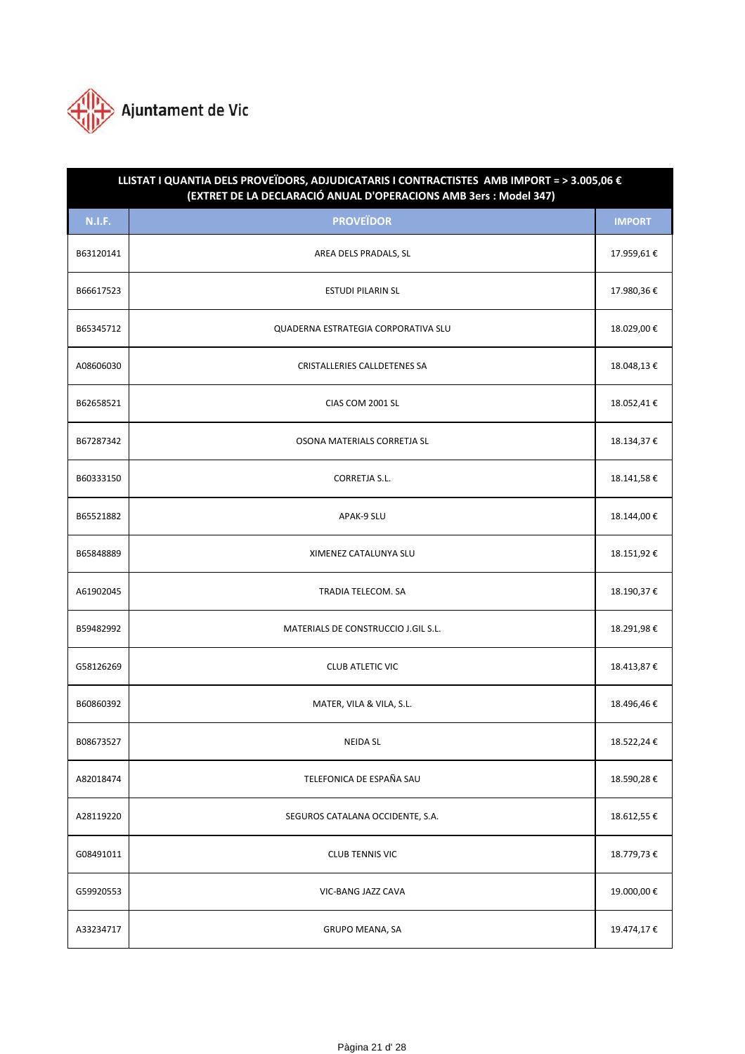

| LLISTAT I QUANTIA DELS PROVEÏDORS, ADJUDICATARIS I CONTRACTISTES AMB IMPORT = > 3.005,06 €<br>(EXTRET DE LA DECLARACIÓ ANUAL D'OPERACIONS AMB 3ers : Model 347) |                                     |               |  |
|-----------------------------------------------------------------------------------------------------------------------------------------------------------------|-------------------------------------|---------------|--|
| <b>N.I.F.</b>                                                                                                                                                   | <b>PROVEÏDOR</b>                    | <b>IMPORT</b> |  |
| B63120141                                                                                                                                                       | AREA DELS PRADALS, SL               | 17.959,61€    |  |
| B66617523                                                                                                                                                       | <b>ESTUDI PILARIN SL</b>            | 17.980,36€    |  |
| B65345712                                                                                                                                                       | QUADERNA ESTRATEGIA CORPORATIVA SLU | 18.029,00€    |  |
| A08606030                                                                                                                                                       | CRISTALLERIES CALLDETENES SA        | 18.048,13€    |  |
| B62658521                                                                                                                                                       | CIAS COM 2001 SL                    | 18.052,41€    |  |
| B67287342                                                                                                                                                       | OSONA MATERIALS CORRETJA SL         | 18.134,37€    |  |
| B60333150                                                                                                                                                       | <b>CORRETJA S.L.</b>                | 18.141,58€    |  |
| B65521882                                                                                                                                                       | APAK-9 SLU                          | 18.144,00€    |  |
| B65848889                                                                                                                                                       | XIMENEZ CATALUNYA SLU               | 18.151,92€    |  |
| A61902045                                                                                                                                                       | TRADIA TELECOM. SA                  | 18.190,37€    |  |
| B59482992                                                                                                                                                       | MATERIALS DE CONSTRUCCIO J.GIL S.L. | 18.291,98€    |  |
| G58126269                                                                                                                                                       | <b>CLUB ATLETIC VIC</b>             | 18.413,87€    |  |
| B60860392                                                                                                                                                       | MATER, VILA & VILA, S.L.            | 18.496,46€    |  |
| B08673527                                                                                                                                                       | <b>NEIDA SL</b>                     | 18.522,24€    |  |
| A82018474                                                                                                                                                       | TELEFONICA DE ESPAÑA SAU            | 18.590,28€    |  |
| A28119220                                                                                                                                                       | SEGUROS CATALANA OCCIDENTE, S.A.    | 18.612,55 €   |  |
| G08491011                                                                                                                                                       | <b>CLUB TENNIS VIC</b>              | 18.779,73€    |  |
| G59920553                                                                                                                                                       | VIC-BANG JAZZ CAVA                  | 19.000,00€    |  |
| A33234717                                                                                                                                                       | GRUPO MEANA, SA                     | 19.474,17€    |  |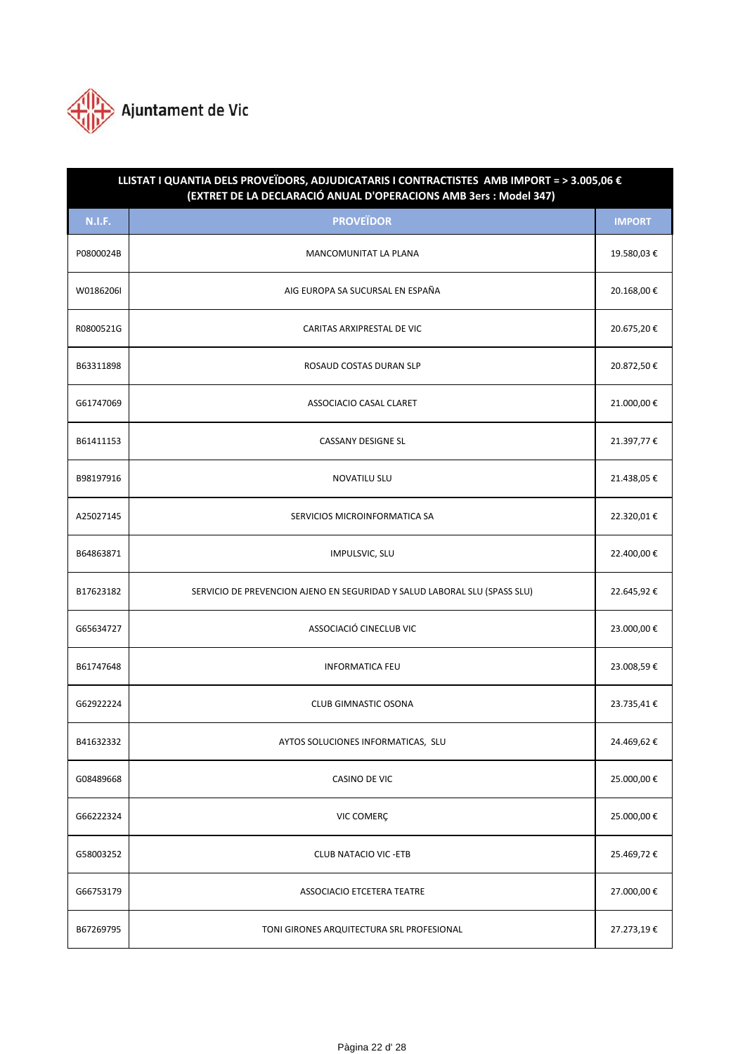

| LLISTAT I QUANTIA DELS PROVEÏDORS, ADJUDICATARIS I CONTRACTISTES AMB IMPORT = > 3.005,06 €<br>(EXTRET DE LA DECLARACIÓ ANUAL D'OPERACIONS AMB 3ers : Model 347) |                                                                           |               |  |
|-----------------------------------------------------------------------------------------------------------------------------------------------------------------|---------------------------------------------------------------------------|---------------|--|
| <b>N.I.F.</b>                                                                                                                                                   | <b>PROVEÏDOR</b>                                                          | <b>IMPORT</b> |  |
| P0800024B                                                                                                                                                       | MANCOMUNITAT LA PLANA                                                     | 19.580,03€    |  |
| W0186206I                                                                                                                                                       | AIG EUROPA SA SUCURSAL EN ESPAÑA                                          | 20.168,00€    |  |
| R0800521G                                                                                                                                                       | CARITAS ARXIPRESTAL DE VIC                                                | 20.675,20€    |  |
| B63311898                                                                                                                                                       | ROSAUD COSTAS DURAN SLP                                                   | 20.872,50€    |  |
| G61747069                                                                                                                                                       | ASSOCIACIO CASAL CLARET                                                   | 21.000,00€    |  |
| B61411153                                                                                                                                                       | <b>CASSANY DESIGNE SL</b>                                                 | 21.397,77 €   |  |
| B98197916                                                                                                                                                       | <b>NOVATILU SLU</b>                                                       | 21.438,05€    |  |
| A25027145                                                                                                                                                       | SERVICIOS MICROINFORMATICA SA                                             | 22.320,01€    |  |
| B64863871                                                                                                                                                       | IMPULSVIC, SLU                                                            | 22.400,00 €   |  |
| B17623182                                                                                                                                                       | SERVICIO DE PREVENCION AJENO EN SEGURIDAD Y SALUD LABORAL SLU (SPASS SLU) | 22.645,92€    |  |
| G65634727                                                                                                                                                       | ASSOCIACIÓ CINECLUB VIC                                                   | 23.000,00€    |  |
| B61747648                                                                                                                                                       | <b>INFORMATICA FEU</b>                                                    | 23.008,59€    |  |
| G62922224                                                                                                                                                       | <b>CLUB GIMNASTIC OSONA</b>                                               | 23.735,41€    |  |
| B41632332                                                                                                                                                       | AYTOS SOLUCIONES INFORMATICAS, SLU                                        | 24.469,62€    |  |
| G08489668                                                                                                                                                       | CASINO DE VIC                                                             | 25.000,00€    |  |
| G66222324                                                                                                                                                       | VIC COMERÇ                                                                | 25.000,00€    |  |
| G58003252                                                                                                                                                       | <b>CLUB NATACIO VIC - ETB</b>                                             | 25.469,72€    |  |
| G66753179                                                                                                                                                       | ASSOCIACIO ETCETERA TEATRE                                                | 27.000,00€    |  |
| B67269795                                                                                                                                                       | TONI GIRONES ARQUITECTURA SRL PROFESIONAL                                 | 27.273,19€    |  |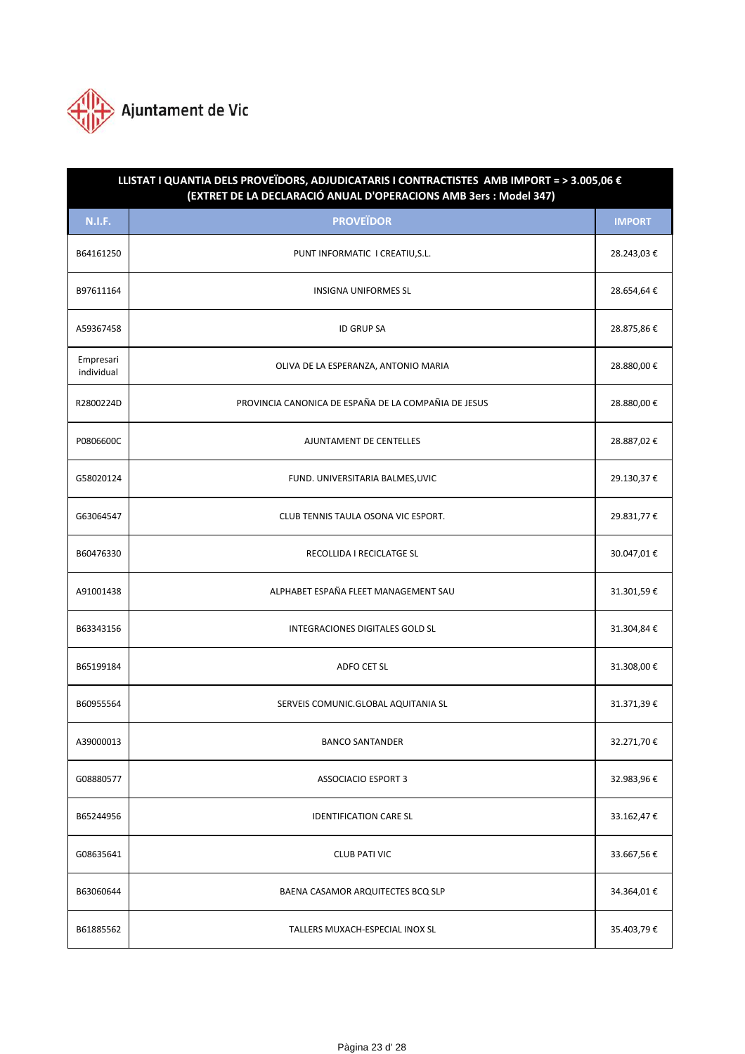

| LLISTAT I QUANTIA DELS PROVEÏDORS, ADJUDICATARIS I CONTRACTISTES AMB IMPORT = > 3.005,06 €<br>(EXTRET DE LA DECLARACIÓ ANUAL D'OPERACIONS AMB 3ers : Model 347) |                                                      |               |  |
|-----------------------------------------------------------------------------------------------------------------------------------------------------------------|------------------------------------------------------|---------------|--|
| <b>N.I.F.</b>                                                                                                                                                   | <b>PROVEÏDOR</b>                                     | <b>IMPORT</b> |  |
| B64161250                                                                                                                                                       | PUNT INFORMATIC I CREATIU, S.L.                      | 28.243,03€    |  |
| B97611164                                                                                                                                                       | <b>INSIGNA UNIFORMES SL</b>                          | 28.654,64€    |  |
| A59367458                                                                                                                                                       | <b>ID GRUP SA</b>                                    | 28.875,86€    |  |
| Empresari<br>individual                                                                                                                                         | OLIVA DE LA ESPERANZA, ANTONIO MARIA                 | 28.880,00€    |  |
| R2800224D                                                                                                                                                       | PROVINCIA CANONICA DE ESPAÑA DE LA COMPAÑIA DE JESUS | 28.880,00€    |  |
| P0806600C                                                                                                                                                       | AJUNTAMENT DE CENTELLES                              | 28.887,02€    |  |
| G58020124                                                                                                                                                       | FUND. UNIVERSITARIA BALMES, UVIC                     | 29.130,37€    |  |
| G63064547                                                                                                                                                       | CLUB TENNIS TAULA OSONA VIC ESPORT.                  | 29.831,77 €   |  |
| B60476330                                                                                                                                                       | RECOLLIDA I RECICLATGE SL                            | 30.047,01€    |  |
| A91001438                                                                                                                                                       | ALPHABET ESPAÑA FLEET MANAGEMENT SAU                 | 31.301,59€    |  |
| B63343156                                                                                                                                                       | INTEGRACIONES DIGITALES GOLD SL                      | 31.304,84€    |  |
| B65199184                                                                                                                                                       | ADFO CET SL                                          | 31.308,00€    |  |
| B60955564                                                                                                                                                       | SERVEIS COMUNIC.GLOBAL AQUITANIA SL                  | 31.371,39€    |  |
| A39000013                                                                                                                                                       | <b>BANCO SANTANDER</b>                               | 32.271,70€    |  |
| G08880577                                                                                                                                                       | <b>ASSOCIACIO ESPORT 3</b>                           | 32.983,96€    |  |
| B65244956                                                                                                                                                       | <b>IDENTIFICATION CARE SL</b>                        | 33.162,47€    |  |
| G08635641                                                                                                                                                       | <b>CLUB PATI VIC</b>                                 | 33.667,56€    |  |
| B63060644                                                                                                                                                       | BAENA CASAMOR ARQUITECTES BCQ SLP                    | 34.364,01€    |  |
| B61885562                                                                                                                                                       | TALLERS MUXACH-ESPECIAL INOX SL                      | 35.403,79€    |  |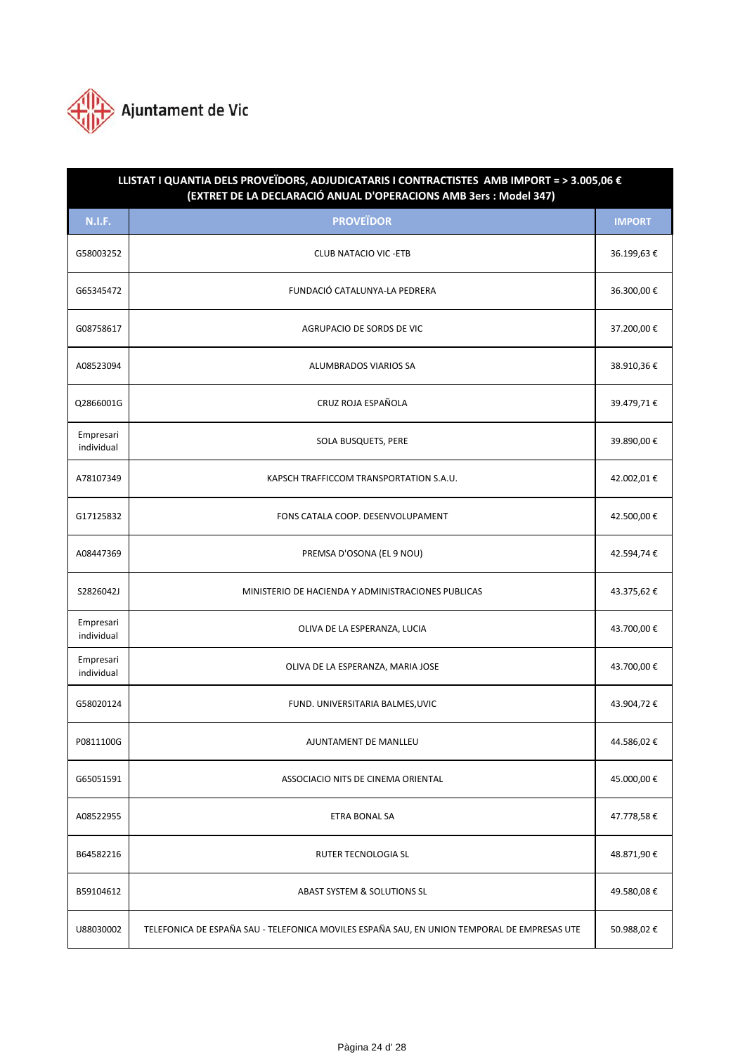

| LLISTAT I QUANTIA DELS PROVEÏDORS, ADJUDICATARIS I CONTRACTISTES AMB IMPORT = > 3.005,06 €<br>(EXTRET DE LA DECLARACIÓ ANUAL D'OPERACIONS AMB 3ers : Model 347) |                                                                                             |               |  |
|-----------------------------------------------------------------------------------------------------------------------------------------------------------------|---------------------------------------------------------------------------------------------|---------------|--|
| <b>N.I.F.</b>                                                                                                                                                   | <b>PROVEÏDOR</b>                                                                            | <b>IMPORT</b> |  |
| G58003252                                                                                                                                                       | <b>CLUB NATACIO VIC - ETB</b>                                                               | 36.199,63€    |  |
| G65345472                                                                                                                                                       | FUNDACIÓ CATALUNYA-LA PEDRERA                                                               | 36.300,00€    |  |
| G08758617                                                                                                                                                       | AGRUPACIO DE SORDS DE VIC                                                                   | 37.200,00€    |  |
| A08523094                                                                                                                                                       | <b>ALUMBRADOS VIARIOS SA</b>                                                                | 38.910,36€    |  |
| Q2866001G                                                                                                                                                       | CRUZ ROJA ESPAÑOLA                                                                          | 39.479,71€    |  |
| Empresari<br>individual                                                                                                                                         | SOLA BUSQUETS, PERE                                                                         | 39.890,00 €   |  |
| A78107349                                                                                                                                                       | KAPSCH TRAFFICCOM TRANSPORTATION S.A.U.                                                     | 42.002,01€    |  |
| G17125832                                                                                                                                                       | FONS CATALA COOP. DESENVOLUPAMENT                                                           | 42.500,00€    |  |
| A08447369                                                                                                                                                       | PREMSA D'OSONA (EL 9 NOU)                                                                   | 42.594,74€    |  |
| S2826042J                                                                                                                                                       | MINISTERIO DE HACIENDA Y ADMINISTRACIONES PUBLICAS                                          | 43.375,62€    |  |
| Empresari<br>individual                                                                                                                                         | OLIVA DE LA ESPERANZA, LUCIA                                                                | 43.700,00 €   |  |
| Empresari<br>individual                                                                                                                                         | OLIVA DE LA ESPERANZA, MARIA JOSE                                                           | 43.700,00€    |  |
| G58020124                                                                                                                                                       | FUND. UNIVERSITARIA BALMES, UVIC                                                            | 43.904,72€    |  |
| P0811100G                                                                                                                                                       | AJUNTAMENT DE MANLLEU                                                                       | 44.586,02€    |  |
| G65051591                                                                                                                                                       | ASSOCIACIO NITS DE CINEMA ORIENTAL                                                          | 45.000,00€    |  |
| A08522955                                                                                                                                                       | <b>ETRA BONAL SA</b>                                                                        | 47.778,58€    |  |
| B64582216                                                                                                                                                       | RUTER TECNOLOGIA SL                                                                         | 48.871,90€    |  |
| B59104612                                                                                                                                                       | ABAST SYSTEM & SOLUTIONS SL                                                                 | 49.580,08€    |  |
| U88030002                                                                                                                                                       | TELEFONICA DE ESPAÑA SAU - TELEFONICA MOVILES ESPAÑA SAU, EN UNION TEMPORAL DE EMPRESAS UTE | 50.988,02€    |  |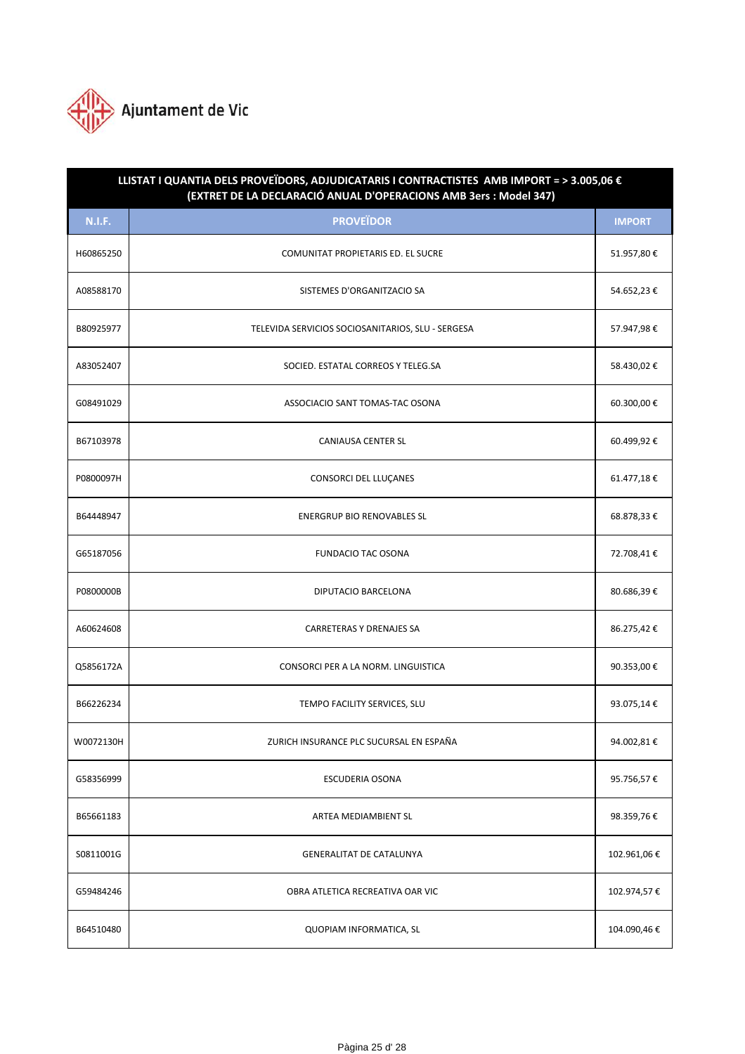

| LLISTAT I QUANTIA DELS PROVEÏDORS, ADJUDICATARIS I CONTRACTISTES AMB IMPORT = > 3.005,06 €<br>(EXTRET DE LA DECLARACIÓ ANUAL D'OPERACIONS AMB 3ers : Model 347) |                                                   |               |  |  |
|-----------------------------------------------------------------------------------------------------------------------------------------------------------------|---------------------------------------------------|---------------|--|--|
| <b>N.I.F.</b>                                                                                                                                                   | <b>PROVEÏDOR</b>                                  | <b>IMPORT</b> |  |  |
| H60865250                                                                                                                                                       | COMUNITAT PROPIETARIS ED. EL SUCRE                | 51.957,80€    |  |  |
| A08588170                                                                                                                                                       | SISTEMES D'ORGANITZACIO SA                        | 54.652,23€    |  |  |
| B80925977                                                                                                                                                       | TELEVIDA SERVICIOS SOCIOSANITARIOS, SLU - SERGESA | 57.947,98€    |  |  |
| A83052407                                                                                                                                                       | SOCIED. ESTATAL CORREOS Y TELEG.SA                | 58.430,02€    |  |  |
| G08491029                                                                                                                                                       | ASSOCIACIO SANT TOMAS-TAC OSONA                   | 60.300,00€    |  |  |
| B67103978                                                                                                                                                       | <b>CANIAUSA CENTER SL</b>                         | 60.499,92€    |  |  |
| P0800097H                                                                                                                                                       | CONSORCI DEL LLUÇANES                             | 61.477,18€    |  |  |
| B64448947                                                                                                                                                       | <b>ENERGRUP BIO RENOVABLES SL</b>                 | 68.878,33 €   |  |  |
| G65187056                                                                                                                                                       | <b>FUNDACIO TAC OSONA</b>                         | 72.708,41€    |  |  |
| P0800000B                                                                                                                                                       | DIPUTACIO BARCELONA                               | 80.686,39€    |  |  |
| A60624608                                                                                                                                                       | <b>CARRETERAS Y DRENAJES SA</b>                   | 86.275,42€    |  |  |
| Q5856172A                                                                                                                                                       | CONSORCI PER A LA NORM. LINGUISTICA               | 90.353,00€    |  |  |
| B66226234                                                                                                                                                       | TEMPO FACILITY SERVICES, SLU                      | 93.075,14€    |  |  |
| W0072130H                                                                                                                                                       | ZURICH INSURANCE PLC SUCURSAL EN ESPAÑA           | 94.002,81€    |  |  |
| G58356999                                                                                                                                                       | ESCUDERIA OSONA                                   | 95.756,57€    |  |  |
| B65661183                                                                                                                                                       | ARTEA MEDIAMBIENT SL                              | 98.359,76€    |  |  |
| S0811001G                                                                                                                                                       | <b>GENERALITAT DE CATALUNYA</b>                   | 102.961,06€   |  |  |
| G59484246                                                                                                                                                       | OBRA ATLETICA RECREATIVA OAR VIC                  | 102.974,57€   |  |  |
| B64510480                                                                                                                                                       | QUOPIAM INFORMATICA, SL                           | 104.090,46€   |  |  |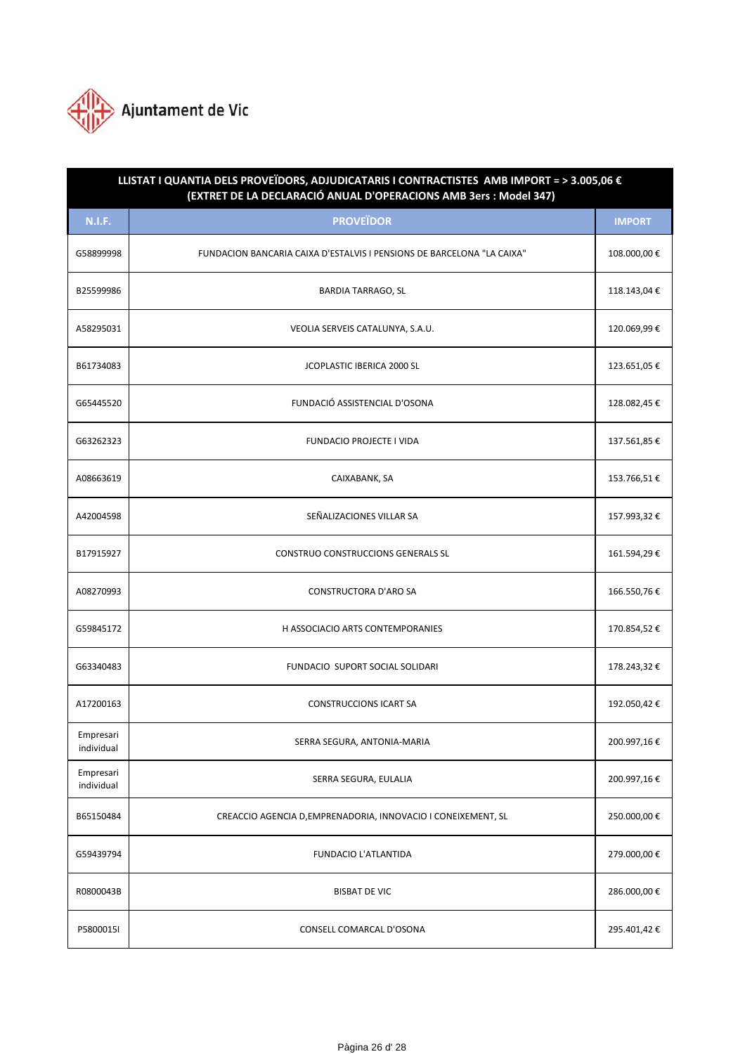

| LLISTAT I QUANTIA DELS PROVEÏDORS, ADJUDICATARIS I CONTRACTISTES AMB IMPORT = > 3.005,06 €<br>(EXTRET DE LA DECLARACIÓ ANUAL D'OPERACIONS AMB 3ers : Model 347) |                                                                        |               |  |  |
|-----------------------------------------------------------------------------------------------------------------------------------------------------------------|------------------------------------------------------------------------|---------------|--|--|
| <b>N.I.F.</b>                                                                                                                                                   | <b>PROVEÏDOR</b>                                                       | <b>IMPORT</b> |  |  |
| G58899998                                                                                                                                                       | FUNDACION BANCARIA CAIXA D'ESTALVIS I PENSIONS DE BARCELONA "LA CAIXA" | 108.000,00€   |  |  |
| B25599986                                                                                                                                                       | <b>BARDIA TARRAGO, SL</b>                                              | 118.143,04€   |  |  |
| A58295031                                                                                                                                                       | VEOLIA SERVEIS CATALUNYA, S.A.U.                                       | 120.069,99€   |  |  |
| B61734083                                                                                                                                                       | JCOPLASTIC IBERICA 2000 SL                                             | 123.651,05€   |  |  |
| G65445520                                                                                                                                                       | FUNDACIÓ ASSISTENCIAL D'OSONA                                          | 128.082,45€   |  |  |
| G63262323                                                                                                                                                       | <b>FUNDACIO PROJECTE I VIDA</b>                                        | 137.561,85€   |  |  |
| A08663619                                                                                                                                                       | CAIXABANK, SA                                                          | 153.766,51€   |  |  |
| A42004598                                                                                                                                                       | SEÑALIZACIONES VILLAR SA                                               | 157.993,32€   |  |  |
| B17915927                                                                                                                                                       | CONSTRUO CONSTRUCCIONS GENERALS SL                                     | 161.594,29€   |  |  |
| A08270993                                                                                                                                                       | <b>CONSTRUCTORA D'ARO SA</b>                                           | 166.550,76€   |  |  |
| G59845172                                                                                                                                                       | H ASSOCIACIO ARTS CONTEMPORANIES                                       | 170.854,52€   |  |  |
| G63340483                                                                                                                                                       | FUNDACIO SUPORT SOCIAL SOLIDARI                                        | 178.243,32€   |  |  |
| A17200163                                                                                                                                                       | <b>CONSTRUCCIONS ICART SA</b>                                          | 192.050,42€   |  |  |
| Empresari<br>individual                                                                                                                                         | SERRA SEGURA, ANTONIA-MARIA                                            | 200.997,16€   |  |  |
| Empresari<br>individual                                                                                                                                         | SERRA SEGURA, EULALIA                                                  | 200.997,16€   |  |  |
| B65150484                                                                                                                                                       | CREACCIO AGENCIA D, EMPRENADORIA, INNOVACIO I CONEIXEMENT, SL          | 250.000,00€   |  |  |
| G59439794                                                                                                                                                       | FUNDACIO L'ATLANTIDA                                                   | 279.000,00€   |  |  |
| R0800043B                                                                                                                                                       | <b>BISBAT DE VIC</b>                                                   | 286.000,00€   |  |  |
| P5800015I                                                                                                                                                       | CONSELL COMARCAL D'OSONA                                               | 295.401,42€   |  |  |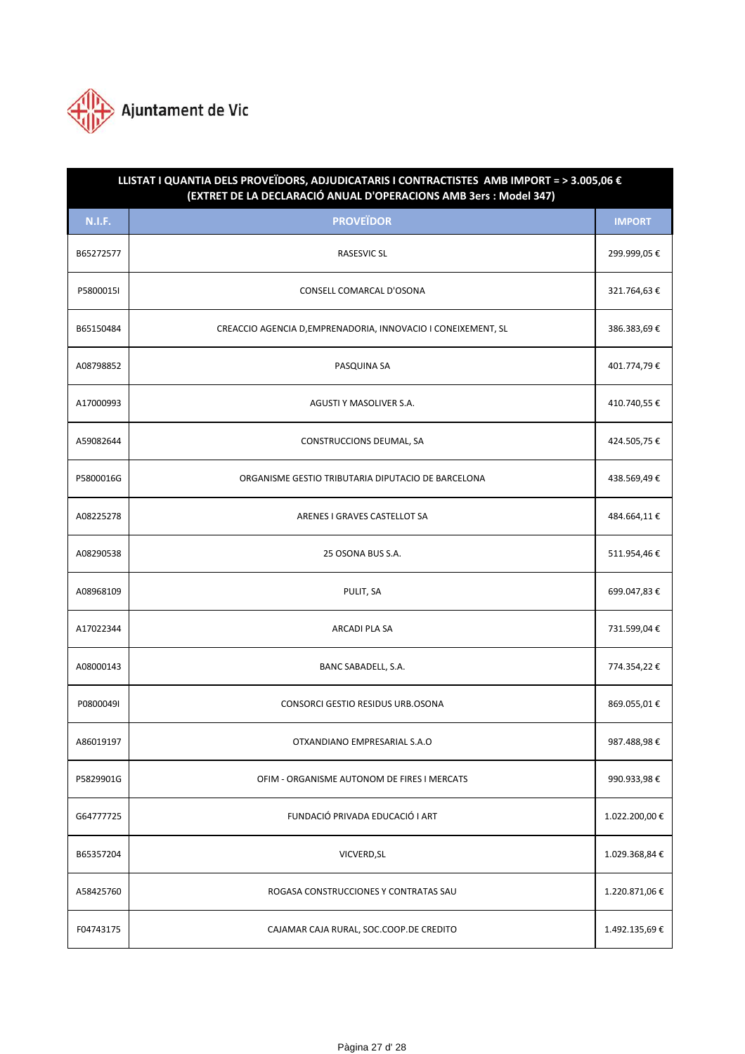

| LLISTAT I QUANTIA DELS PROVEÏDORS, ADJUDICATARIS I CONTRACTISTES AMB IMPORT = > 3.005,06 €<br>(EXTRET DE LA DECLARACIÓ ANUAL D'OPERACIONS AMB 3ers : Model 347) |                                                               |                |  |  |
|-----------------------------------------------------------------------------------------------------------------------------------------------------------------|---------------------------------------------------------------|----------------|--|--|
| <b>N.I.F.</b>                                                                                                                                                   | <b>PROVEÏDOR</b>                                              | <b>IMPORT</b>  |  |  |
| B65272577                                                                                                                                                       | <b>RASESVIC SL</b>                                            | 299.999,05€    |  |  |
| P5800015I                                                                                                                                                       | CONSELL COMARCAL D'OSONA                                      | 321.764,63€    |  |  |
| B65150484                                                                                                                                                       | CREACCIO AGENCIA D, EMPRENADORIA, INNOVACIO I CONEIXEMENT, SL | 386.383,69€    |  |  |
| A08798852                                                                                                                                                       | PASQUINA SA                                                   | 401.774,79€    |  |  |
| A17000993                                                                                                                                                       | AGUSTI Y MASOLIVER S.A.                                       | 410.740,55€    |  |  |
| A59082644                                                                                                                                                       | CONSTRUCCIONS DEUMAL, SA                                      | 424.505,75€    |  |  |
| P5800016G                                                                                                                                                       | ORGANISME GESTIO TRIBUTARIA DIPUTACIO DE BARCELONA            | 438.569,49€    |  |  |
| A08225278                                                                                                                                                       | ARENES I GRAVES CASTELLOT SA                                  | 484.664,11€    |  |  |
| A08290538                                                                                                                                                       | 25 OSONA BUS S.A.                                             | 511.954,46€    |  |  |
| A08968109                                                                                                                                                       | PULIT, SA                                                     | 699.047,83€    |  |  |
| A17022344                                                                                                                                                       | ARCADI PLA SA                                                 | 731.599,04€    |  |  |
| A08000143                                                                                                                                                       | BANC SABADELL, S.A.                                           | 774.354,22 €   |  |  |
| P0800049I                                                                                                                                                       | CONSORCI GESTIO RESIDUS URB.OSONA                             | 869.055,01€    |  |  |
| A86019197                                                                                                                                                       | OTXANDIANO EMPRESARIAL S.A.O                                  | 987.488,98€    |  |  |
| P5829901G                                                                                                                                                       | OFIM - ORGANISME AUTONOM DE FIRES I MERCATS                   | 990.933,98€    |  |  |
| G64777725                                                                                                                                                       | FUNDACIÓ PRIVADA EDUCACIÓ I ART                               | 1.022.200,00 € |  |  |
| B65357204                                                                                                                                                       | VICVERD, SL                                                   | 1.029.368,84 € |  |  |
| A58425760                                                                                                                                                       | ROGASA CONSTRUCCIONES Y CONTRATAS SAU                         | 1.220.871,06€  |  |  |
| F04743175                                                                                                                                                       | CAJAMAR CAJA RURAL, SOC.COOP.DE CREDITO                       | 1.492.135,69€  |  |  |